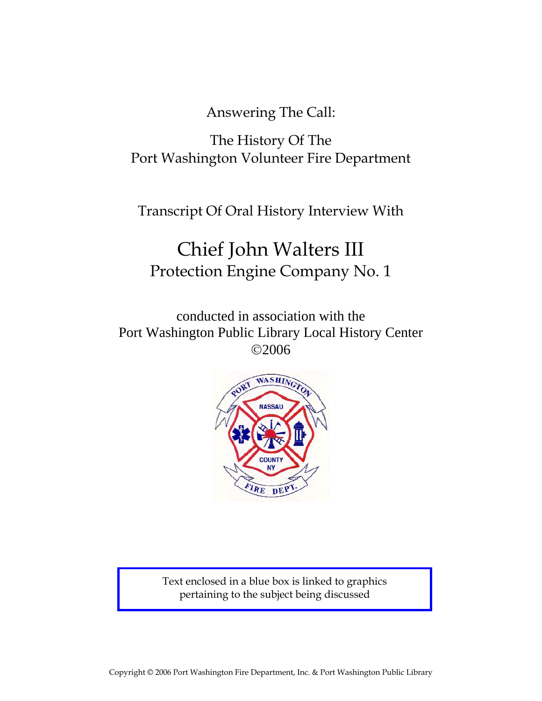Answering The Call:

The History Of The Port Washington Volunteer Fire Department

Transcript Of Oral History Interview With

# Chief John Walters III Protection Engine Company No. 1

conducted in association with the Port Washington Public Library Local History Center ©2006



Text enclosed in a blue box is linked to graphics pertaining to the subject being discussed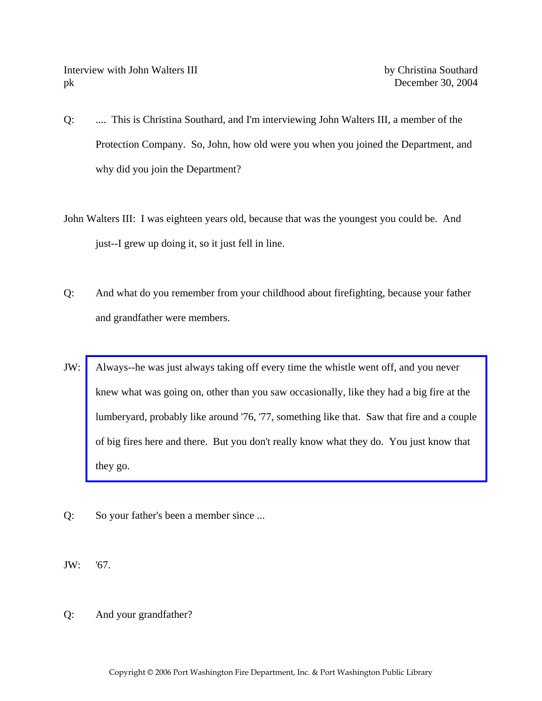Interview with John Walters III by Christina Southard pk December 30, 2004

- Q: .... This is Christina Southard, and I'm interviewing John Walters III, a member of the Protection Company. So, John, how old were you when you joined the Department, and why did you join the Department?
- John Walters III: I was eighteen years old, because that was the youngest you could be. And just--I grew up doing it, so it just fell in line.
- Q: And what do you remember from your childhood about firefighting, because your father and grandfather were members.
- JW: Always--he was just always taking off every time the whistle went off, and you never knew what was going on, other than you saw occasionally, like they had a big fire at the [lumberyard, probably like around '76, '77, something like that. Saw that fire and a couple](http://www.pwfdhistory.com/trans/waltersj3_trans/pwfd_news_lumberyd.pdf)  of big fires here and there. But you don't really know what they do. You just know that they go.
- Q: So your father's been a member since ...
- JW: '67.
- Q: And your grandfather?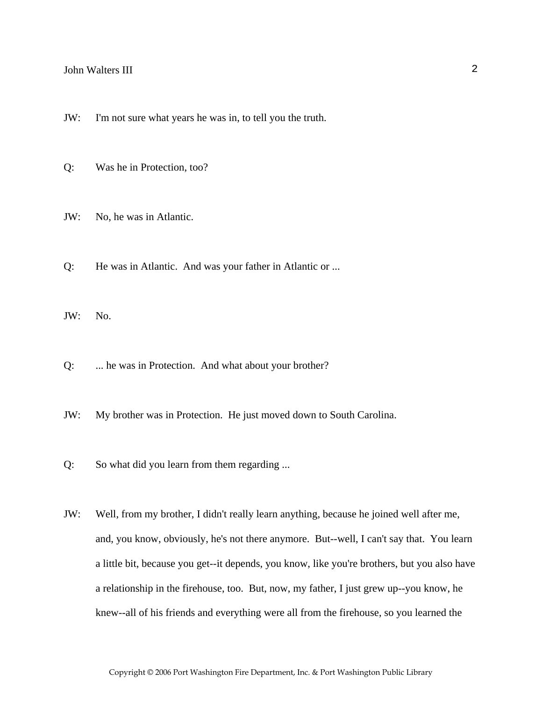- JW: I'm not sure what years he was in, to tell you the truth.
- Q: Was he in Protection, too?
- JW: No, he was in Atlantic.
- Q: He was in Atlantic. And was your father in Atlantic or ...

JW: No.

- Q: ... he was in Protection. And what about your brother?
- JW: My brother was in Protection. He just moved down to South Carolina.
- Q: So what did you learn from them regarding ...
- JW: Well, from my brother, I didn't really learn anything, because he joined well after me, and, you know, obviously, he's not there anymore. But--well, I can't say that. You learn a little bit, because you get--it depends, you know, like you're brothers, but you also have a relationship in the firehouse, too. But, now, my father, I just grew up--you know, he knew--all of his friends and everything were all from the firehouse, so you learned the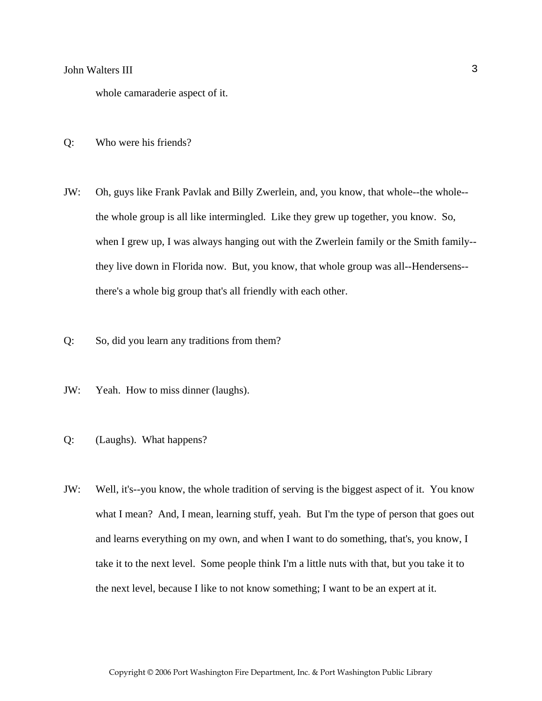whole camaraderie aspect of it.

- Q: Who were his friends?
- JW: Oh, guys like Frank Pavlak and Billy Zwerlein, and, you know, that whole--the whole- the whole group is all like intermingled. Like they grew up together, you know. So, when I grew up, I was always hanging out with the Zwerlein family or the Smith family- they live down in Florida now. But, you know, that whole group was all--Hendersens- there's a whole big group that's all friendly with each other.
- Q: So, did you learn any traditions from them?
- JW: Yeah. How to miss dinner (laughs).
- Q: (Laughs). What happens?
- JW: Well, it's--you know, the whole tradition of serving is the biggest aspect of it. You know what I mean? And, I mean, learning stuff, yeah. But I'm the type of person that goes out and learns everything on my own, and when I want to do something, that's, you know, I take it to the next level. Some people think I'm a little nuts with that, but you take it to the next level, because I like to not know something; I want to be an expert at it.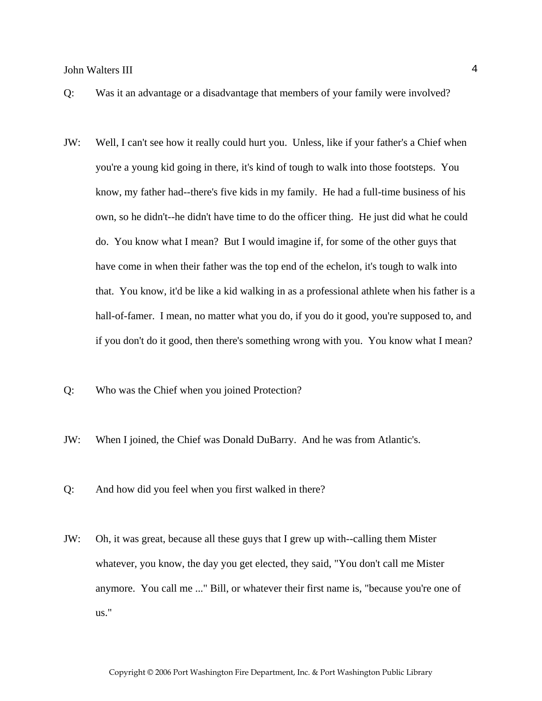- Q: Was it an advantage or a disadvantage that members of your family were involved?
- JW: Well, I can't see how it really could hurt you. Unless, like if your father's a Chief when you're a young kid going in there, it's kind of tough to walk into those footsteps. You know, my father had--there's five kids in my family. He had a full-time business of his own, so he didn't--he didn't have time to do the officer thing. He just did what he could do. You know what I mean? But I would imagine if, for some of the other guys that have come in when their father was the top end of the echelon, it's tough to walk into that. You know, it'd be like a kid walking in as a professional athlete when his father is a hall-of-famer. I mean, no matter what you do, if you do it good, you're supposed to, and if you don't do it good, then there's something wrong with you. You know what I mean?
- Q: Who was the Chief when you joined Protection?
- JW: When I joined, the Chief was Donald DuBarry. And he was from Atlantic's.
- Q: And how did you feel when you first walked in there?
- JW: Oh, it was great, because all these guys that I grew up with--calling them Mister whatever, you know, the day you get elected, they said, "You don't call me Mister anymore. You call me ..." Bill, or whatever their first name is, "because you're one of us."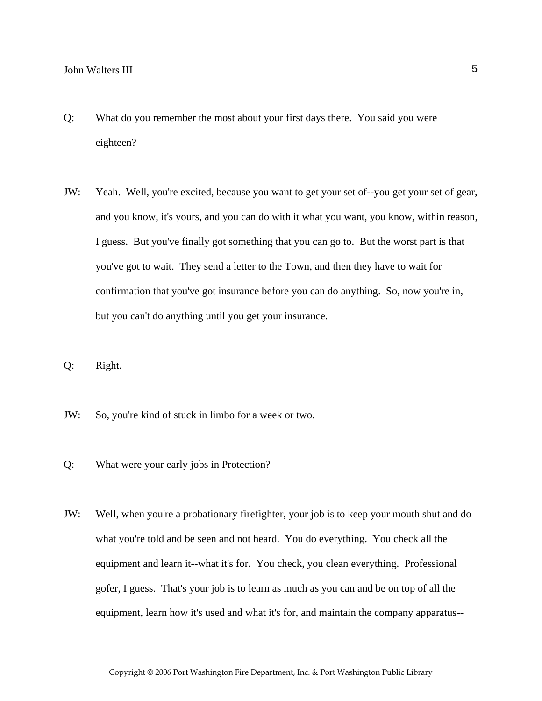- Q: What do you remember the most about your first days there. You said you were eighteen?
- JW: Yeah. Well, you're excited, because you want to get your set of--you get your set of gear, and you know, it's yours, and you can do with it what you want, you know, within reason, I guess. But you've finally got something that you can go to. But the worst part is that you've got to wait. They send a letter to the Town, and then they have to wait for confirmation that you've got insurance before you can do anything. So, now you're in, but you can't do anything until you get your insurance.
- Q: Right.
- JW: So, you're kind of stuck in limbo for a week or two.
- Q: What were your early jobs in Protection?
- JW: Well, when you're a probationary firefighter, your job is to keep your mouth shut and do what you're told and be seen and not heard. You do everything. You check all the equipment and learn it--what it's for. You check, you clean everything. Professional gofer, I guess. That's your job is to learn as much as you can and be on top of all the equipment, learn how it's used and what it's for, and maintain the company apparatus--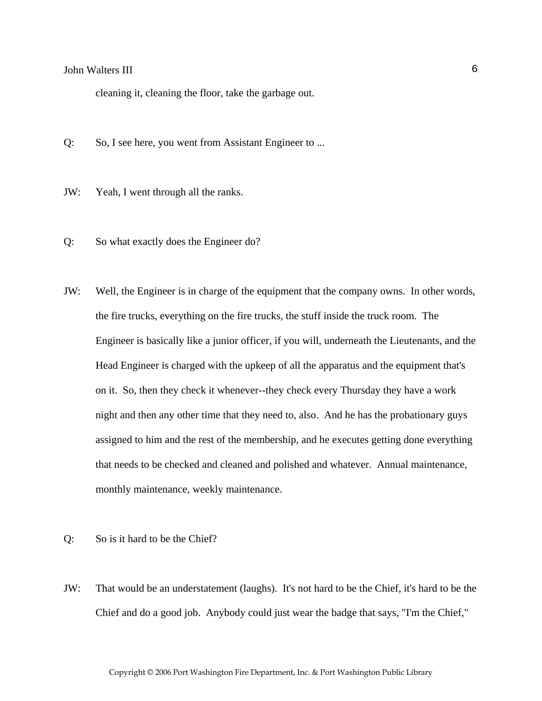cleaning it, cleaning the floor, take the garbage out.

- Q: So, I see here, you went from Assistant Engineer to ...
- JW: Yeah, I went through all the ranks.
- Q: So what exactly does the Engineer do?
- JW: Well, the Engineer is in charge of the equipment that the company owns. In other words, the fire trucks, everything on the fire trucks, the stuff inside the truck room. The Engineer is basically like a junior officer, if you will, underneath the Lieutenants, and the Head Engineer is charged with the upkeep of all the apparatus and the equipment that's on it. So, then they check it whenever--they check every Thursday they have a work night and then any other time that they need to, also. And he has the probationary guys assigned to him and the rest of the membership, and he executes getting done everything that needs to be checked and cleaned and polished and whatever. Annual maintenance, monthly maintenance, weekly maintenance.
- Q: So is it hard to be the Chief?
- JW: That would be an understatement (laughs). It's not hard to be the Chief, it's hard to be the Chief and do a good job. Anybody could just wear the badge that says, "I'm the Chief,"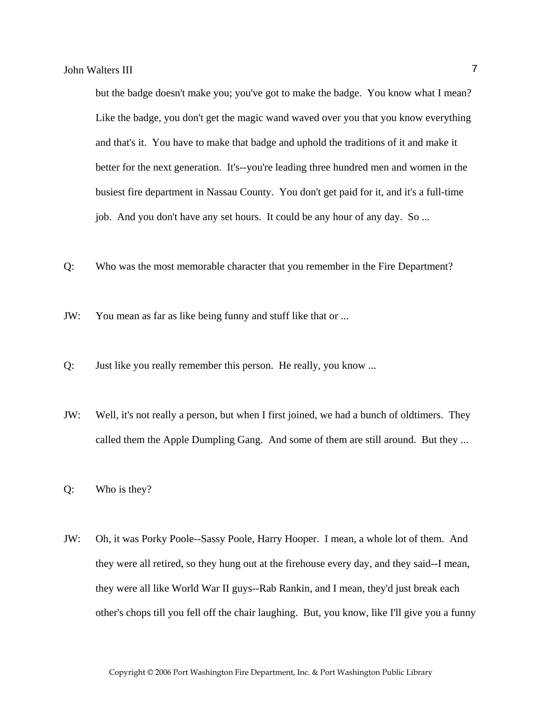but the badge doesn't make you; you've got to make the badge. You know what I mean? Like the badge, you don't get the magic wand waved over you that you know everything and that's it. You have to make that badge and uphold the traditions of it and make it better for the next generation. It's--you're leading three hundred men and women in the busiest fire department in Nassau County. You don't get paid for it, and it's a full-time job. And you don't have any set hours. It could be any hour of any day. So ...

Q: Who was the most memorable character that you remember in the Fire Department?

JW: You mean as far as like being funny and stuff like that or ...

- Q: Just like you really remember this person. He really, you know ...
- JW: Well, it's not really a person, but when I first joined, we had a bunch of oldtimers. They called them the Apple Dumpling Gang. And some of them are still around. But they ...

Q: Who is they?

JW: Oh, it was Porky Poole--Sassy Poole, Harry Hooper. I mean, a whole lot of them. And they were all retired, so they hung out at the firehouse every day, and they said--I mean, they were all like World War II guys--Rab Rankin, and I mean, they'd just break each other's chops till you fell off the chair laughing. But, you know, like I'll give you a funny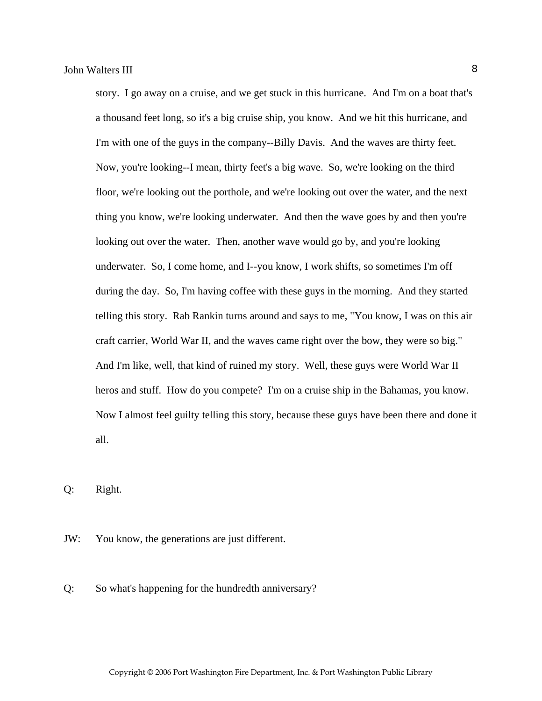story. I go away on a cruise, and we get stuck in this hurricane. And I'm on a boat that's a thousand feet long, so it's a big cruise ship, you know. And we hit this hurricane, and I'm with one of the guys in the company--Billy Davis. And the waves are thirty feet. Now, you're looking--I mean, thirty feet's a big wave. So, we're looking on the third floor, we're looking out the porthole, and we're looking out over the water, and the next thing you know, we're looking underwater. And then the wave goes by and then you're looking out over the water. Then, another wave would go by, and you're looking underwater. So, I come home, and I--you know, I work shifts, so sometimes I'm off during the day. So, I'm having coffee with these guys in the morning. And they started telling this story. Rab Rankin turns around and says to me, "You know, I was on this air craft carrier, World War II, and the waves came right over the bow, they were so big." And I'm like, well, that kind of ruined my story. Well, these guys were World War II heros and stuff. How do you compete? I'm on a cruise ship in the Bahamas, you know. Now I almost feel guilty telling this story, because these guys have been there and done it all.

Q: Right.

JW: You know, the generations are just different.

Q: So what's happening for the hundredth anniversary?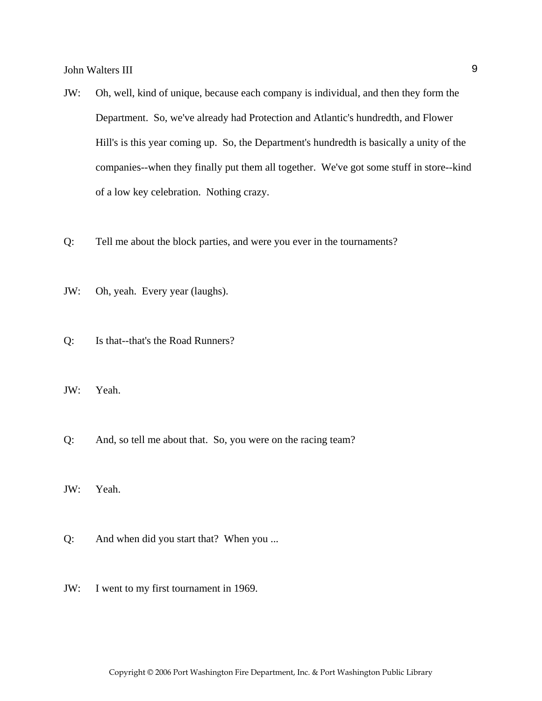- JW: Oh, well, kind of unique, because each company is individual, and then they form the Department. So, we've already had Protection and Atlantic's hundredth, and Flower Hill's is this year coming up. So, the Department's hundredth is basically a unity of the companies--when they finally put them all together. We've got some stuff in store--kind of a low key celebration. Nothing crazy.
- Q: Tell me about the block parties, and were you ever in the tournaments?
- JW: Oh, yeah. Every year (laughs).
- Q: Is that--that's the Road Runners?
- JW: Yeah.
- Q: And, so tell me about that. So, you were on the racing team?
- JW: Yeah.
- Q: And when did you start that? When you ...
- JW: I went to my first tournament in 1969.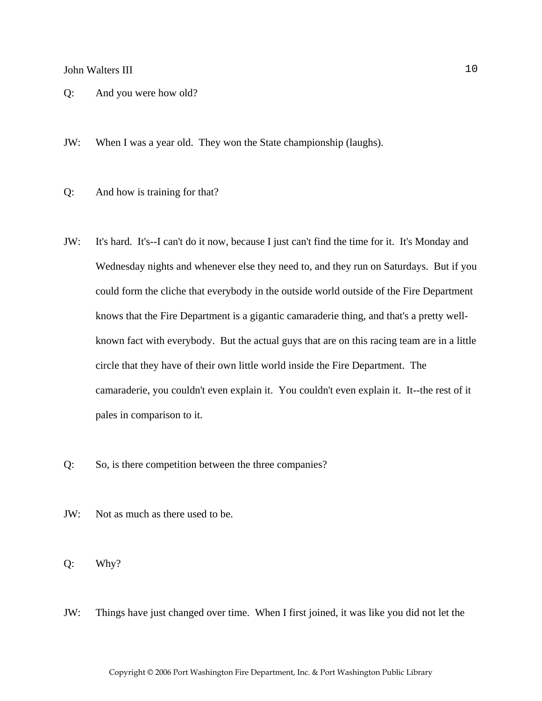- Q: And you were how old?
- JW: When I was a year old. They won the State championship (laughs).
- Q: And how is training for that?
- JW: It's hard. It's--I can't do it now, because I just can't find the time for it. It's Monday and Wednesday nights and whenever else they need to, and they run on Saturdays. But if you could form the cliche that everybody in the outside world outside of the Fire Department knows that the Fire Department is a gigantic camaraderie thing, and that's a pretty wellknown fact with everybody. But the actual guys that are on this racing team are in a little circle that they have of their own little world inside the Fire Department. The camaraderie, you couldn't even explain it. You couldn't even explain it. It--the rest of it pales in comparison to it.
- Q: So, is there competition between the three companies?
- JW: Not as much as there used to be.
- Q: Why?
- JW: Things have just changed over time. When I first joined, it was like you did not let the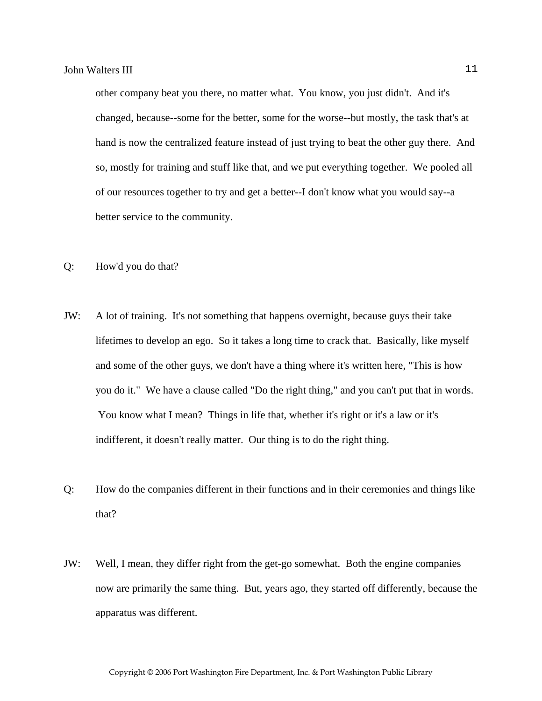other company beat you there, no matter what. You know, you just didn't. And it's changed, because--some for the better, some for the worse--but mostly, the task that's at hand is now the centralized feature instead of just trying to beat the other guy there. And so, mostly for training and stuff like that, and we put everything together. We pooled all of our resources together to try and get a better--I don't know what you would say--a better service to the community.

- Q: How'd you do that?
- JW: A lot of training. It's not something that happens overnight, because guys their take lifetimes to develop an ego. So it takes a long time to crack that. Basically, like myself and some of the other guys, we don't have a thing where it's written here, "This is how you do it." We have a clause called "Do the right thing," and you can't put that in words. You know what I mean? Things in life that, whether it's right or it's a law or it's indifferent, it doesn't really matter. Our thing is to do the right thing.
- Q: How do the companies different in their functions and in their ceremonies and things like that?
- JW: Well, I mean, they differ right from the get-go somewhat. Both the engine companies now are primarily the same thing. But, years ago, they started off differently, because the apparatus was different.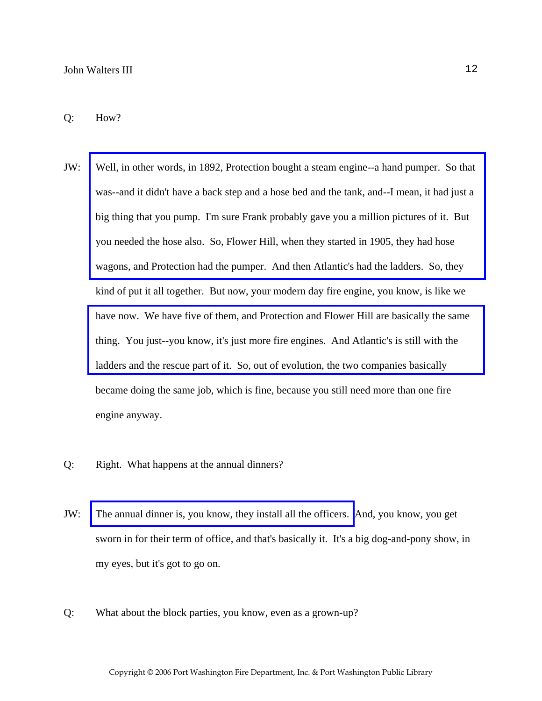#### Q: How?

- JW: [Well, in other words, in 1892, Protection bought a steam engine--a hand pumper. So that](http://www.pwfdhistory.com/trans/waltersj3_trans/pwfd_vehicle009_web.jpg)  was--and it didn't have a back step and a hose bed and the tank, and--I mean, it had just a big thing that you pump. I'm sure Frank probably gave you a million pictures of it. But you needed the hose also. So, Flower Hill, when they started in 1905, they had hose wagons, and Protection had the pumper. And then Atlantic's had the ladders. So, they kind of put it all together. But now, your modern day fire engine, you know, is like we [have now. We have five of them, and Protection and Flower Hill are basically the same](http://www.pwfdhistory.com/trans/waltersj3_trans/pwfd_vehicle008.jpg)  thing. You just--you know, it's just more fire engines. And Atlantic's is still with the ladders and the rescue part of it. So, out of evolution, the two companies basically became doing the same job, which is fine, because you still need more than one fire engine anyway.
- Q: Right. What happens at the annual dinners?
- JW: [The annual dinner is, you know, they install all the officers.](http://www.pwfdhistory.com/trans/waltersj3_trans/peco_members011_web.jpg) And, you know, you get sworn in for their term of office, and that's basically it. It's a big dog-and-pony show, in my eyes, but it's got to go on.
- Q: What about the block parties, you know, even as a grown-up?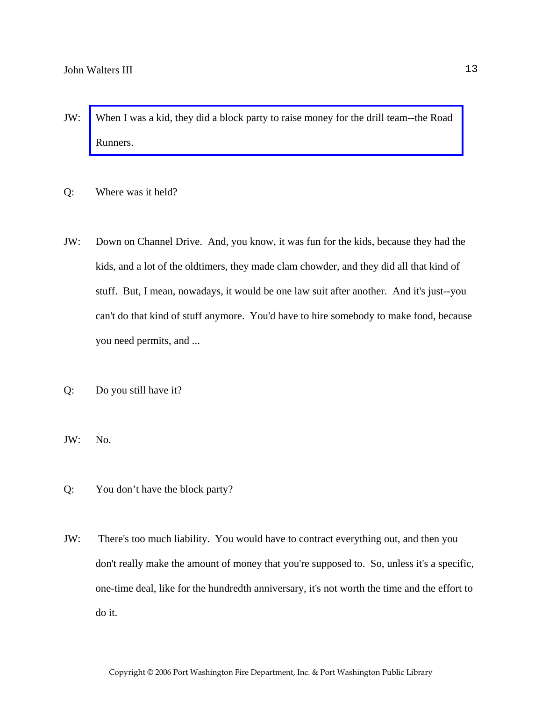- JW: [When I was a kid, they did a block party to raise money for the drill team--the Road](http://www.pwfdhistory.com/trans/waltersj3_trans/news_cocks279b.pdf)  Runners.
- Q: Where was it held?
- JW: Down on Channel Drive. And, you know, it was fun for the kids, because they had the kids, and a lot of the oldtimers, they made clam chowder, and they did all that kind of stuff. But, I mean, nowadays, it would be one law suit after another. And it's just--you can't do that kind of stuff anymore. You'd have to hire somebody to make food, because you need permits, and ...
- Q: Do you still have it?
- JW: No.
- Q: You don't have the block party?
- JW: There's too much liability. You would have to contract everything out, and then you don't really make the amount of money that you're supposed to. So, unless it's a specific, one-time deal, like for the hundredth anniversary, it's not worth the time and the effort to do it.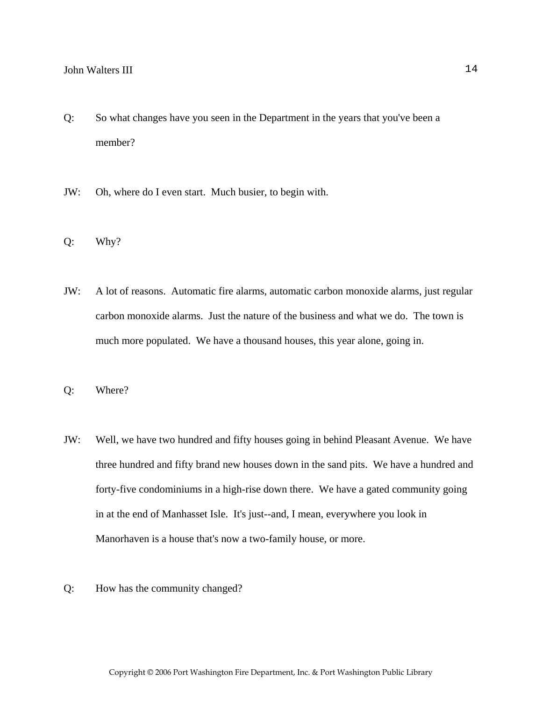- Q: So what changes have you seen in the Department in the years that you've been a member?
- JW: Oh, where do I even start. Much busier, to begin with.
- Q: Why?
- JW: A lot of reasons. Automatic fire alarms, automatic carbon monoxide alarms, just regular carbon monoxide alarms. Just the nature of the business and what we do. The town is much more populated. We have a thousand houses, this year alone, going in.
- Q: Where?
- JW: Well, we have two hundred and fifty houses going in behind Pleasant Avenue. We have three hundred and fifty brand new houses down in the sand pits. We have a hundred and forty-five condominiums in a high-rise down there. We have a gated community going in at the end of Manhasset Isle. It's just--and, I mean, everywhere you look in Manorhaven is a house that's now a two-family house, or more.
- Q: How has the community changed?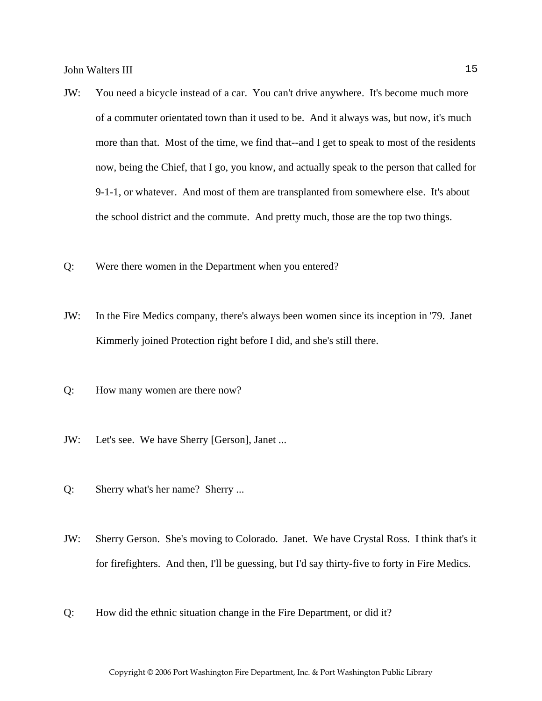- JW: You need a bicycle instead of a car. You can't drive anywhere. It's become much more of a commuter orientated town than it used to be. And it always was, but now, it's much more than that. Most of the time, we find that--and I get to speak to most of the residents now, being the Chief, that I go, you know, and actually speak to the person that called for 9-1-1, or whatever. And most of them are transplanted from somewhere else. It's about the school district and the commute. And pretty much, those are the top two things.
- Q: Were there women in the Department when you entered?
- JW: In the Fire Medics company, there's always been women since its inception in '79. Janet Kimmerly joined Protection right before I did, and she's still there.
- Q: How many women are there now?
- JW: Let's see. We have Sherry [Gerson], Janet ...
- Q: Sherry what's her name? Sherry ...
- JW: Sherry Gerson. She's moving to Colorado. Janet. We have Crystal Ross. I think that's it for firefighters. And then, I'll be guessing, but I'd say thirty-five to forty in Fire Medics.
- Q: How did the ethnic situation change in the Fire Department, or did it?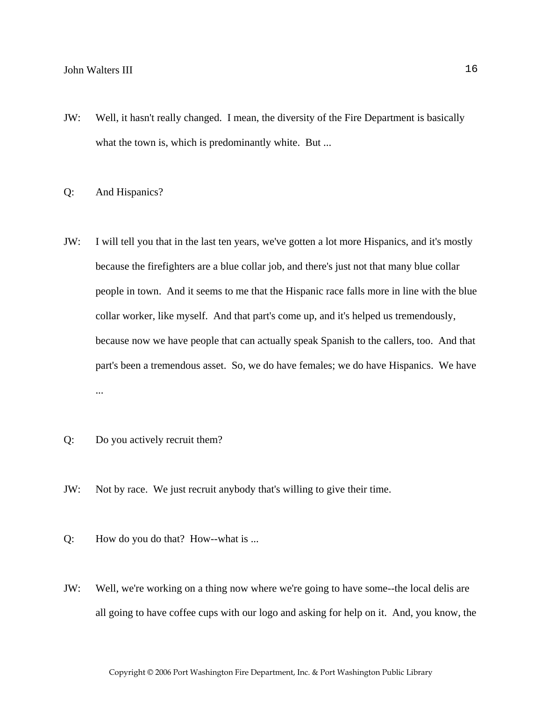JW: Well, it hasn't really changed. I mean, the diversity of the Fire Department is basically what the town is, which is predominantly white. But ...

#### Q: And Hispanics?

- JW: I will tell you that in the last ten years, we've gotten a lot more Hispanics, and it's mostly because the firefighters are a blue collar job, and there's just not that many blue collar people in town. And it seems to me that the Hispanic race falls more in line with the blue collar worker, like myself. And that part's come up, and it's helped us tremendously, because now we have people that can actually speak Spanish to the callers, too. And that part's been a tremendous asset. So, we do have females; we do have Hispanics. We have ...
- Q: Do you actively recruit them?
- JW: Not by race. We just recruit anybody that's willing to give their time.
- Q: How do you do that? How--what is ...
- JW: Well, we're working on a thing now where we're going to have some--the local delis are all going to have coffee cups with our logo and asking for help on it. And, you know, the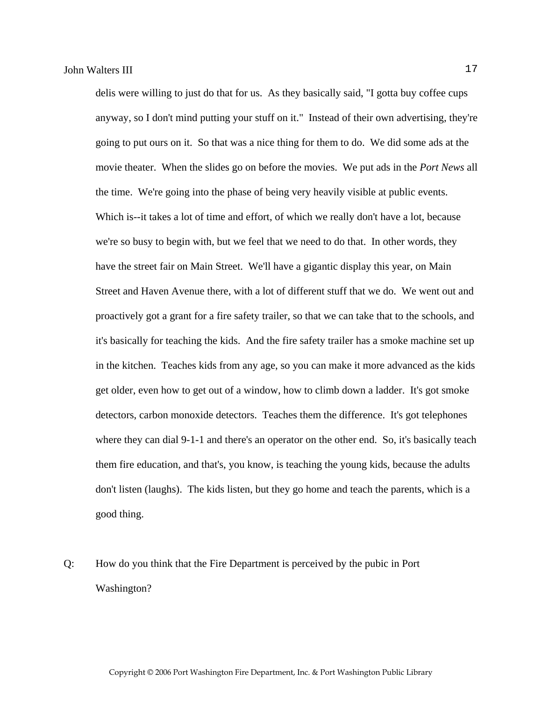delis were willing to just do that for us. As they basically said, "I gotta buy coffee cups anyway, so I don't mind putting your stuff on it." Instead of their own advertising, they're going to put ours on it. So that was a nice thing for them to do. We did some ads at the movie theater. When the slides go on before the movies. We put ads in the *Port News* all the time. We're going into the phase of being very heavily visible at public events. Which is--it takes a lot of time and effort, of which we really don't have a lot, because we're so busy to begin with, but we feel that we need to do that. In other words, they have the street fair on Main Street. We'll have a gigantic display this year, on Main Street and Haven Avenue there, with a lot of different stuff that we do. We went out and proactively got a grant for a fire safety trailer, so that we can take that to the schools, and it's basically for teaching the kids. And the fire safety trailer has a smoke machine set up in the kitchen. Teaches kids from any age, so you can make it more advanced as the kids get older, even how to get out of a window, how to climb down a ladder. It's got smoke detectors, carbon monoxide detectors. Teaches them the difference. It's got telephones where they can dial 9-1-1 and there's an operator on the other end. So, it's basically teach them fire education, and that's, you know, is teaching the young kids, because the adults don't listen (laughs). The kids listen, but they go home and teach the parents, which is a good thing.

Q: How do you think that the Fire Department is perceived by the pubic in Port Washington?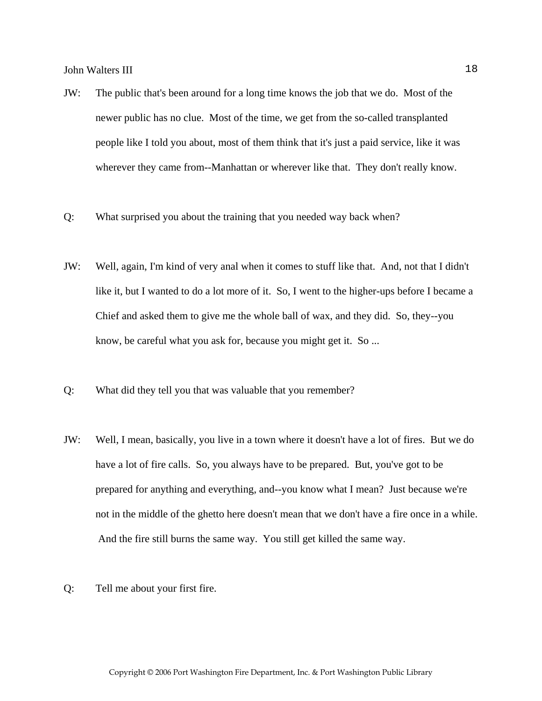- JW: The public that's been around for a long time knows the job that we do. Most of the newer public has no clue. Most of the time, we get from the so-called transplanted people like I told you about, most of them think that it's just a paid service, like it was wherever they came from--Manhattan or wherever like that. They don't really know.
- Q: What surprised you about the training that you needed way back when?
- JW: Well, again, I'm kind of very anal when it comes to stuff like that. And, not that I didn't like it, but I wanted to do a lot more of it. So, I went to the higher-ups before I became a Chief and asked them to give me the whole ball of wax, and they did. So, they--you know, be careful what you ask for, because you might get it. So ...
- Q: What did they tell you that was valuable that you remember?
- JW: Well, I mean, basically, you live in a town where it doesn't have a lot of fires. But we do have a lot of fire calls. So, you always have to be prepared. But, you've got to be prepared for anything and everything, and--you know what I mean? Just because we're not in the middle of the ghetto here doesn't mean that we don't have a fire once in a while. And the fire still burns the same way. You still get killed the same way.
- Q: Tell me about your first fire.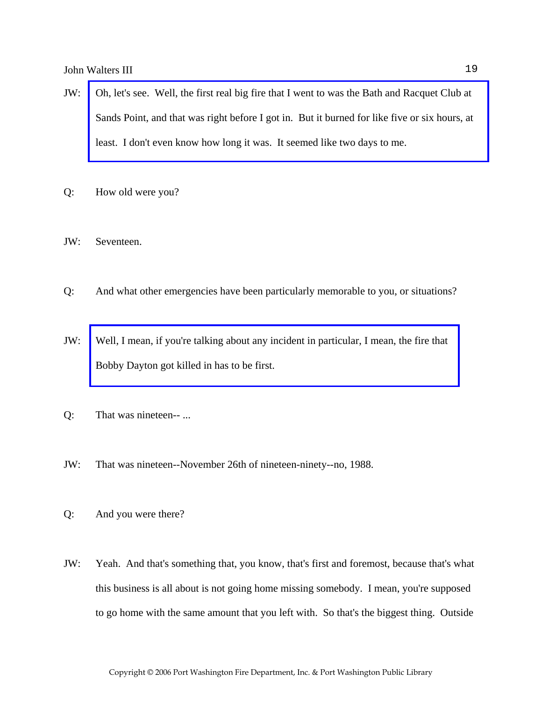- JW: [Oh, let's see. Well, the first real big fire that I went to was the Bath and Racquet Club at](http://www.pwfdhistory.com/trans/waltersj3_trans/spbathclb_pz_web.pdf)  Sands Point, and that was right before I got in. But it burned for like five or six hours, at least. I don't even know how long it was. It seemed like two days to me.
- Q: How old were you?
- JW: Seventeen.
- Q: And what other emergencies have been particularly memorable to you, or situations?
- JW: [Well, I mean, if you're talking about any incident in particular, I mean, the fire that](http://www.pwfdhistory.com/trans/waltersj3_trans/pnews881201_pz.pdf)  Bobby Dayton got killed in has to be first.
- Q: That was nineteen-- ...
- JW: That was nineteen--November 26th of nineteen-ninety--no, 1988.
- Q: And you were there?
- JW: Yeah. And that's something that, you know, that's first and foremost, because that's what this business is all about is not going home missing somebody. I mean, you're supposed to go home with the same amount that you left with. So that's the biggest thing. Outside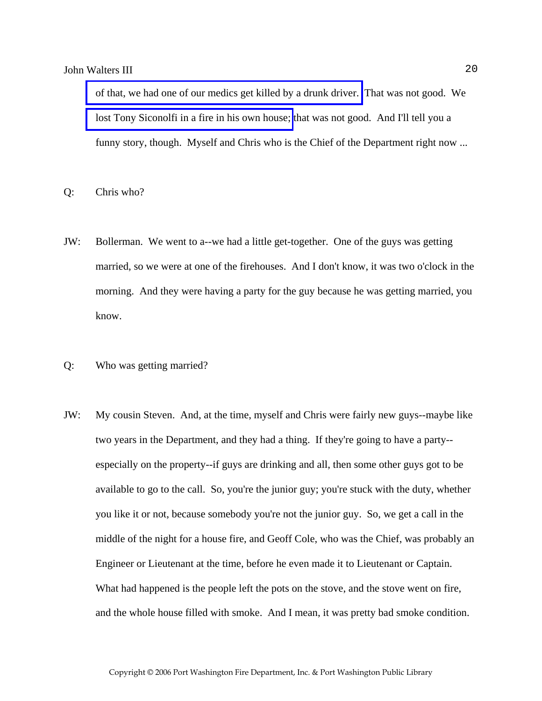[of that, we had one of our medics get killed by a drunk driver.](http://www.pwfdhistory.com/trans/waltersj3_trans/sowle_pz.pdf) That was not good. We [lost Tony Siconolfi in a fire in his own house;](http://www.pwfdhistory.com/trans/waltersj3_trans/pnews921112_pz.pdf) that was not good. And I'll tell you a funny story, though. Myself and Chris who is the Chief of the Department right now ...

Q: Chris who?

- JW: Bollerman. We went to a--we had a little get-together. One of the guys was getting married, so we were at one of the firehouses. And I don't know, it was two o'clock in the morning. And they were having a party for the guy because he was getting married, you know.
- Q: Who was getting married?
- JW: My cousin Steven. And, at the time, myself and Chris were fairly new guys--maybe like two years in the Department, and they had a thing. If they're going to have a party- especially on the property--if guys are drinking and all, then some other guys got to be available to go to the call. So, you're the junior guy; you're stuck with the duty, whether you like it or not, because somebody you're not the junior guy. So, we get a call in the middle of the night for a house fire, and Geoff Cole, who was the Chief, was probably an Engineer or Lieutenant at the time, before he even made it to Lieutenant or Captain. What had happened is the people left the pots on the stove, and the stove went on fire, and the whole house filled with smoke. And I mean, it was pretty bad smoke condition.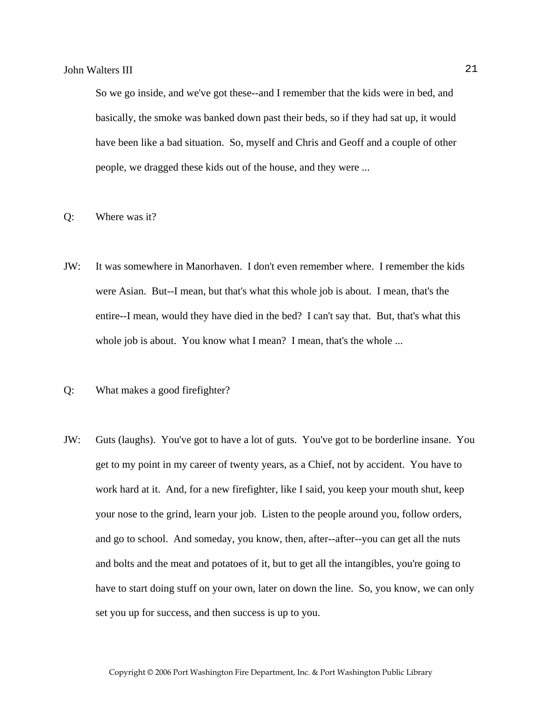So we go inside, and we've got these--and I remember that the kids were in bed, and basically, the smoke was banked down past their beds, so if they had sat up, it would have been like a bad situation. So, myself and Chris and Geoff and a couple of other people, we dragged these kids out of the house, and they were ...

#### Q: Where was it?

- JW: It was somewhere in Manorhaven. I don't even remember where. I remember the kids were Asian. But--I mean, but that's what this whole job is about. I mean, that's the entire--I mean, would they have died in the bed? I can't say that. But, that's what this whole job is about. You know what I mean? I mean, that's the whole ...
- Q: What makes a good firefighter?
- JW: Guts (laughs). You've got to have a lot of guts. You've got to be borderline insane. You get to my point in my career of twenty years, as a Chief, not by accident. You have to work hard at it. And, for a new firefighter, like I said, you keep your mouth shut, keep your nose to the grind, learn your job. Listen to the people around you, follow orders, and go to school. And someday, you know, then, after--after--you can get all the nuts and bolts and the meat and potatoes of it, but to get all the intangibles, you're going to have to start doing stuff on your own, later on down the line. So, you know, we can only set you up for success, and then success is up to you.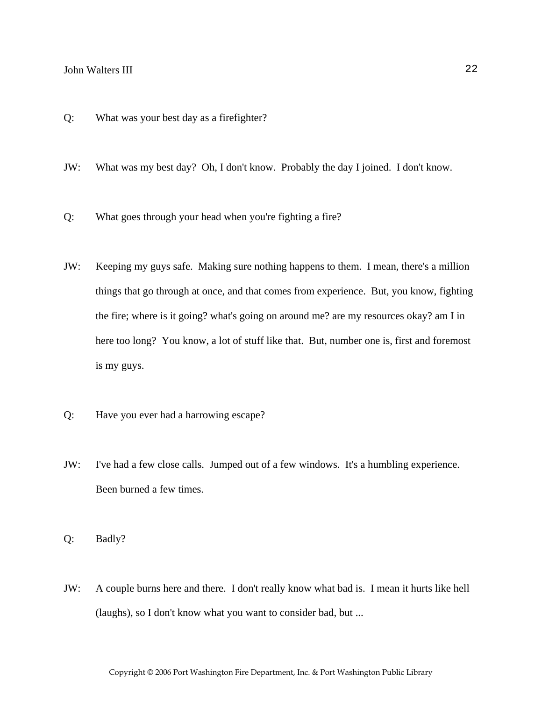- Q: What was your best day as a firefighter?
- JW: What was my best day? Oh, I don't know. Probably the day I joined. I don't know.
- Q: What goes through your head when you're fighting a fire?
- JW: Keeping my guys safe. Making sure nothing happens to them. I mean, there's a million things that go through at once, and that comes from experience. But, you know, fighting the fire; where is it going? what's going on around me? are my resources okay? am I in here too long? You know, a lot of stuff like that. But, number one is, first and foremost is my guys.
- Q: Have you ever had a harrowing escape?
- JW: I've had a few close calls. Jumped out of a few windows. It's a humbling experience. Been burned a few times.
- Q: Badly?
- JW: A couple burns here and there. I don't really know what bad is. I mean it hurts like hell (laughs), so I don't know what you want to consider bad, but ...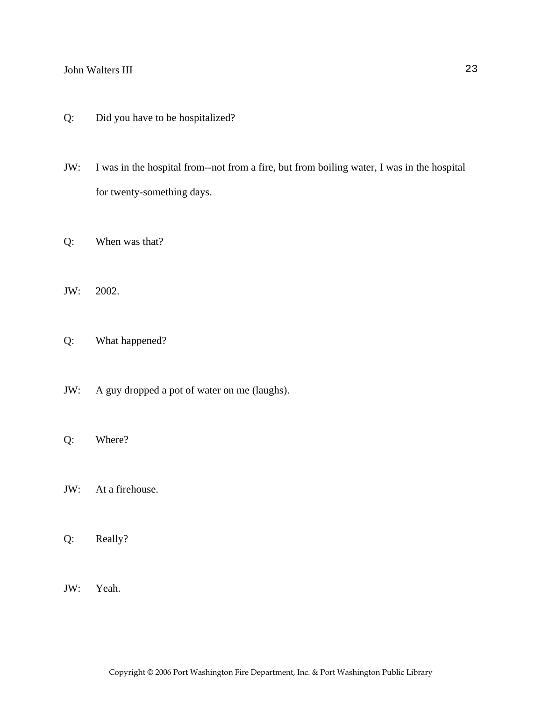- Q: Did you have to be hospitalized?
- JW: I was in the hospital from--not from a fire, but from boiling water, I was in the hospital for twenty-something days.
- Q: When was that?
- JW: 2002.
- Q: What happened?
- JW: A guy dropped a pot of water on me (laughs).
- Q: Where?
- JW: At a firehouse.
- Q: Really?
- JW: Yeah.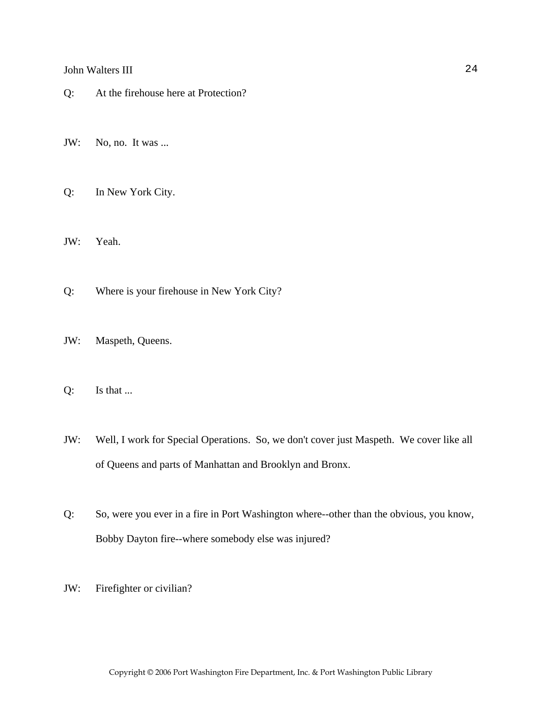- Q: At the firehouse here at Protection?
- JW: No, no. It was ...
- Q: In New York City.
- JW: Yeah.
- Q: Where is your firehouse in New York City?
- JW: Maspeth, Queens.
- Q: Is that ...
- JW: Well, I work for Special Operations. So, we don't cover just Maspeth. We cover like all of Queens and parts of Manhattan and Brooklyn and Bronx.
- Q: So, were you ever in a fire in Port Washington where--other than the obvious, you know, Bobby Dayton fire--where somebody else was injured?
- JW: Firefighter or civilian?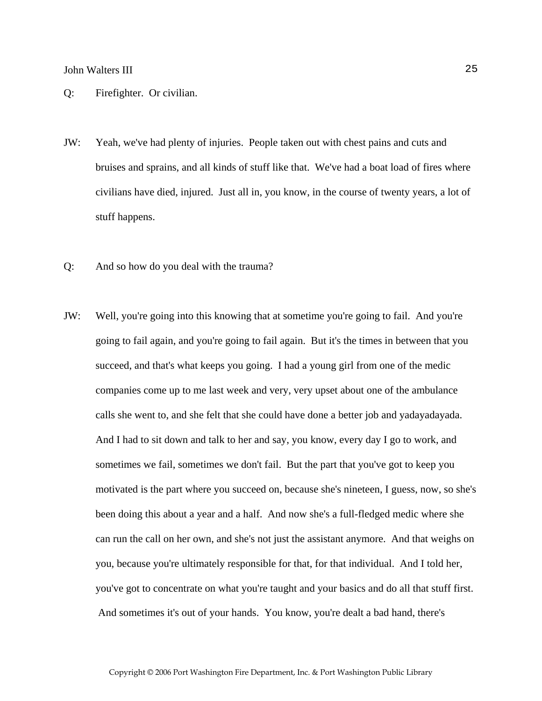- Q: Firefighter. Or civilian.
- JW: Yeah, we've had plenty of injuries. People taken out with chest pains and cuts and bruises and sprains, and all kinds of stuff like that. We've had a boat load of fires where civilians have died, injured. Just all in, you know, in the course of twenty years, a lot of stuff happens.
- Q: And so how do you deal with the trauma?
- JW: Well, you're going into this knowing that at sometime you're going to fail. And you're going to fail again, and you're going to fail again. But it's the times in between that you succeed, and that's what keeps you going. I had a young girl from one of the medic companies come up to me last week and very, very upset about one of the ambulance calls she went to, and she felt that she could have done a better job and yadayadayada. And I had to sit down and talk to her and say, you know, every day I go to work, and sometimes we fail, sometimes we don't fail. But the part that you've got to keep you motivated is the part where you succeed on, because she's nineteen, I guess, now, so she's been doing this about a year and a half. And now she's a full-fledged medic where she can run the call on her own, and she's not just the assistant anymore. And that weighs on you, because you're ultimately responsible for that, for that individual. And I told her, you've got to concentrate on what you're taught and your basics and do all that stuff first. And sometimes it's out of your hands. You know, you're dealt a bad hand, there's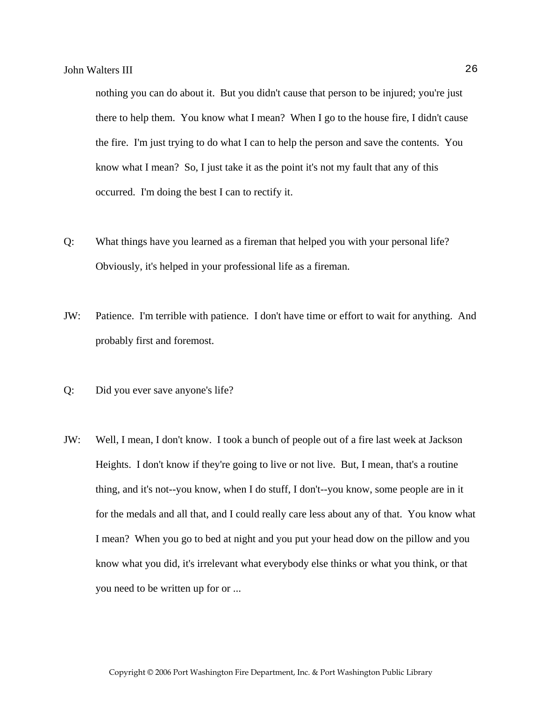nothing you can do about it. But you didn't cause that person to be injured; you're just there to help them. You know what I mean? When I go to the house fire, I didn't cause the fire. I'm just trying to do what I can to help the person and save the contents. You know what I mean? So, I just take it as the point it's not my fault that any of this occurred. I'm doing the best I can to rectify it.

- Q: What things have you learned as a fireman that helped you with your personal life? Obviously, it's helped in your professional life as a fireman.
- JW: Patience. I'm terrible with patience. I don't have time or effort to wait for anything. And probably first and foremost.
- Q: Did you ever save anyone's life?
- JW: Well, I mean, I don't know. I took a bunch of people out of a fire last week at Jackson Heights. I don't know if they're going to live or not live. But, I mean, that's a routine thing, and it's not--you know, when I do stuff, I don't--you know, some people are in it for the medals and all that, and I could really care less about any of that. You know what I mean? When you go to bed at night and you put your head dow on the pillow and you know what you did, it's irrelevant what everybody else thinks or what you think, or that you need to be written up for or ...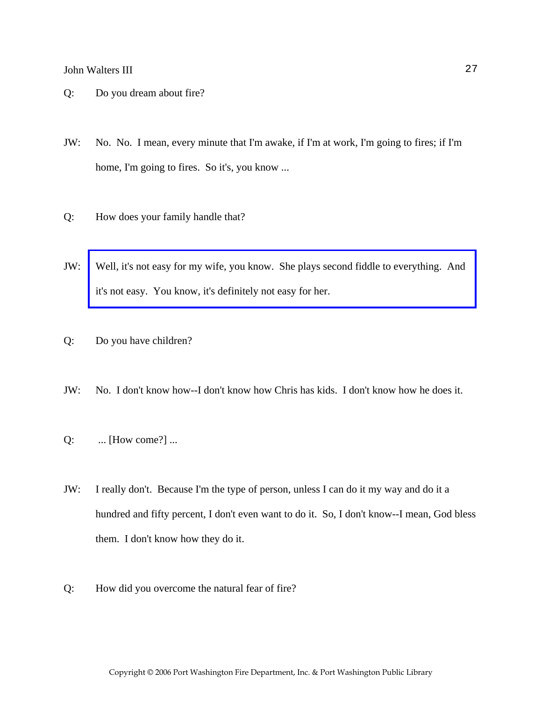- Q: Do you dream about fire?
- JW: No. No. I mean, every minute that I'm awake, if I'm at work, I'm going to fires; if I'm home, I'm going to fires. So it's, you know ...
- Q: How does your family handle that?
- JW: [Well, it's not easy for my wife, you know. She plays second fiddle to everything. And](http://www.pwfdhistory.com/trans/waltersj3_trans/waltersIII_wedding.jpg)  it's not easy. You know, it's definitely not easy for her.
- Q: Do you have children?
- JW: No. I don't know how--I don't know how Chris has kids. I don't know how he does it.
- Q: ... [How come?] ...
- JW: I really don't. Because I'm the type of person, unless I can do it my way and do it a hundred and fifty percent, I don't even want to do it. So, I don't know--I mean, God bless them. I don't know how they do it.
- Q: How did you overcome the natural fear of fire?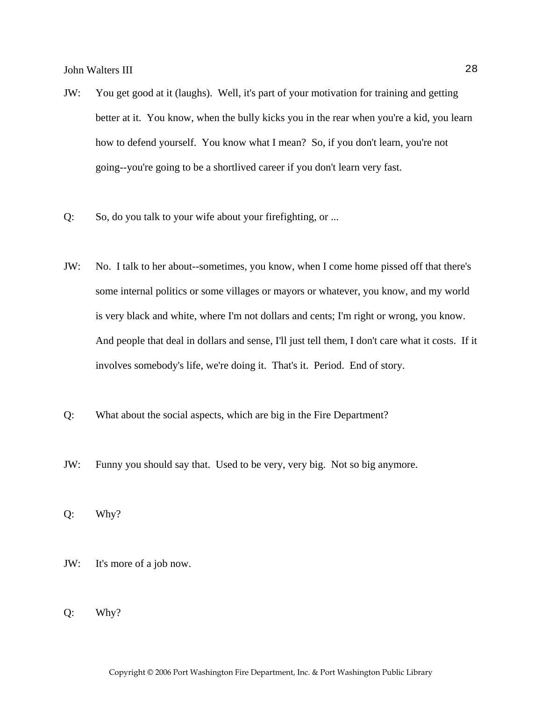- JW: You get good at it (laughs). Well, it's part of your motivation for training and getting better at it. You know, when the bully kicks you in the rear when you're a kid, you learn how to defend yourself. You know what I mean? So, if you don't learn, you're not going--you're going to be a shortlived career if you don't learn very fast.
- Q: So, do you talk to your wife about your firefighting, or ...
- JW: No. I talk to her about--sometimes, you know, when I come home pissed off that there's some internal politics or some villages or mayors or whatever, you know, and my world is very black and white, where I'm not dollars and cents; I'm right or wrong, you know. And people that deal in dollars and sense, I'll just tell them, I don't care what it costs. If it involves somebody's life, we're doing it. That's it. Period. End of story.
- Q: What about the social aspects, which are big in the Fire Department?
- JW: Funny you should say that. Used to be very, very big. Not so big anymore.

Q: Why?

- JW: It's more of a job now.
- Q: Why?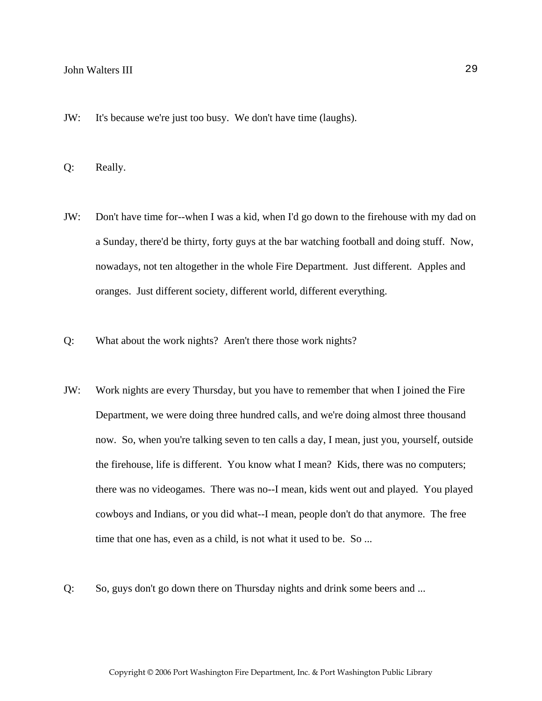JW: It's because we're just too busy. We don't have time (laughs).

Q: Really.

- JW: Don't have time for--when I was a kid, when I'd go down to the firehouse with my dad on a Sunday, there'd be thirty, forty guys at the bar watching football and doing stuff. Now, nowadays, not ten altogether in the whole Fire Department. Just different. Apples and oranges. Just different society, different world, different everything.
- Q: What about the work nights? Aren't there those work nights?
- JW: Work nights are every Thursday, but you have to remember that when I joined the Fire Department, we were doing three hundred calls, and we're doing almost three thousand now. So, when you're talking seven to ten calls a day, I mean, just you, yourself, outside the firehouse, life is different. You know what I mean? Kids, there was no computers; there was no videogames. There was no--I mean, kids went out and played. You played cowboys and Indians, or you did what--I mean, people don't do that anymore. The free time that one has, even as a child, is not what it used to be. So ...
- Q: So, guys don't go down there on Thursday nights and drink some beers and ...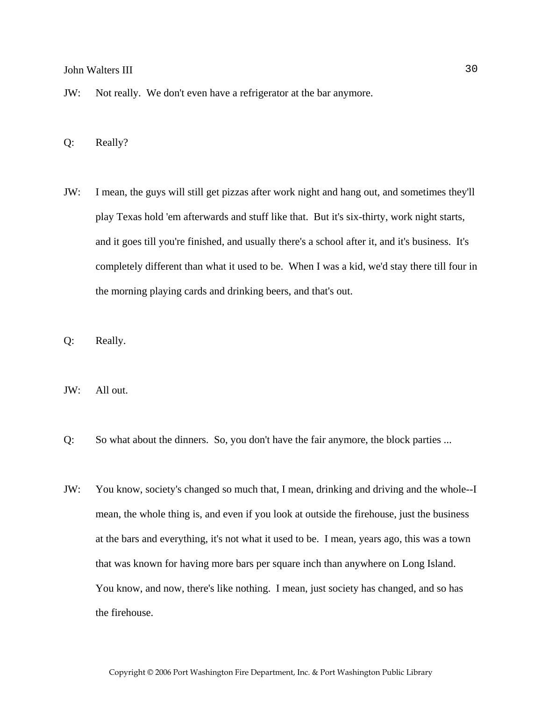- JW: Not really. We don't even have a refrigerator at the bar anymore.
- Q: Really?
- JW: I mean, the guys will still get pizzas after work night and hang out, and sometimes they'll play Texas hold 'em afterwards and stuff like that. But it's six-thirty, work night starts, and it goes till you're finished, and usually there's a school after it, and it's business. It's completely different than what it used to be. When I was a kid, we'd stay there till four in the morning playing cards and drinking beers, and that's out.
- Q: Really.
- JW: All out.
- Q: So what about the dinners. So, you don't have the fair anymore, the block parties ...
- JW: You know, society's changed so much that, I mean, drinking and driving and the whole--I mean, the whole thing is, and even if you look at outside the firehouse, just the business at the bars and everything, it's not what it used to be. I mean, years ago, this was a town that was known for having more bars per square inch than anywhere on Long Island. You know, and now, there's like nothing. I mean, just society has changed, and so has the firehouse.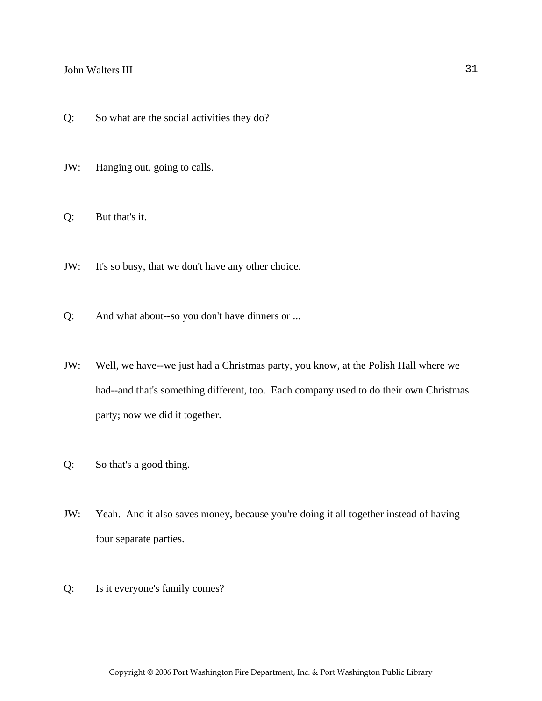- Q: So what are the social activities they do?
- JW: Hanging out, going to calls.
- Q: But that's it.
- JW: It's so busy, that we don't have any other choice.
- Q: And what about--so you don't have dinners or ...
- JW: Well, we have--we just had a Christmas party, you know, at the Polish Hall where we had--and that's something different, too. Each company used to do their own Christmas party; now we did it together.
- Q: So that's a good thing.
- JW: Yeah. And it also saves money, because you're doing it all together instead of having four separate parties.
- Q: Is it everyone's family comes?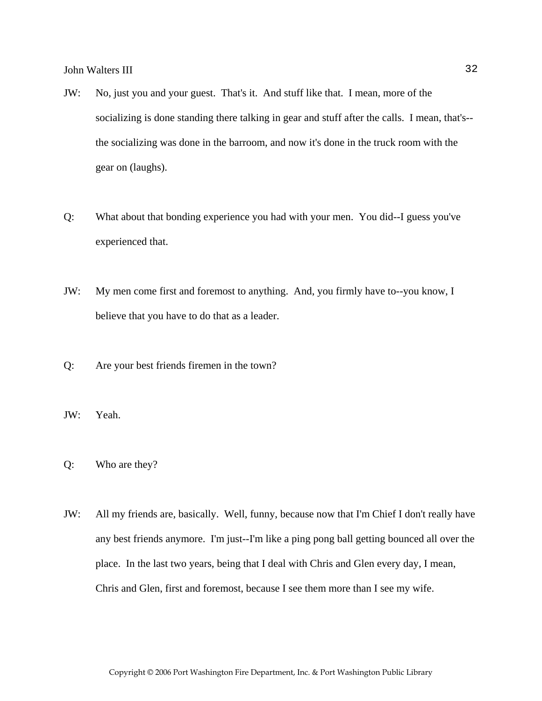- JW: No, just you and your guest. That's it. And stuff like that. I mean, more of the socializing is done standing there talking in gear and stuff after the calls. I mean, that's- the socializing was done in the barroom, and now it's done in the truck room with the gear on (laughs).
- Q: What about that bonding experience you had with your men. You did--I guess you've experienced that.
- JW: My men come first and foremost to anything. And, you firmly have to--you know, I believe that you have to do that as a leader.
- Q: Are your best friends firemen in the town?
- JW: Yeah.
- Q: Who are they?
- JW: All my friends are, basically. Well, funny, because now that I'm Chief I don't really have any best friends anymore. I'm just--I'm like a ping pong ball getting bounced all over the place. In the last two years, being that I deal with Chris and Glen every day, I mean, Chris and Glen, first and foremost, because I see them more than I see my wife.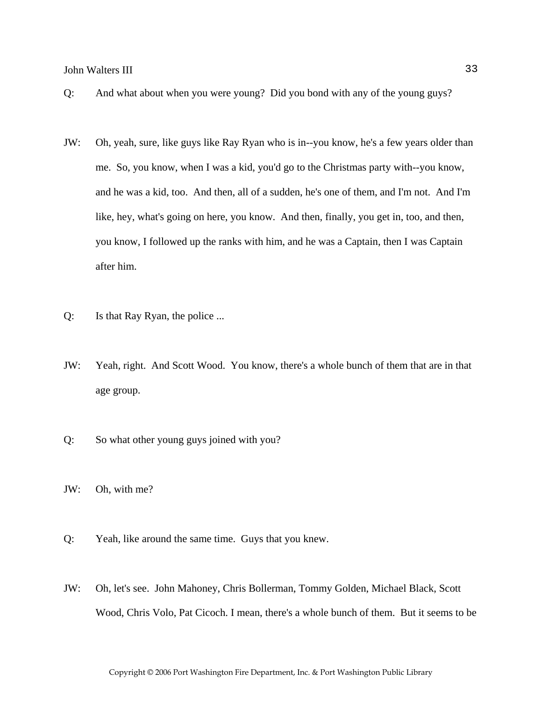- Q: And what about when you were young? Did you bond with any of the young guys?
- JW: Oh, yeah, sure, like guys like Ray Ryan who is in--you know, he's a few years older than me. So, you know, when I was a kid, you'd go to the Christmas party with--you know, and he was a kid, too. And then, all of a sudden, he's one of them, and I'm not. And I'm like, hey, what's going on here, you know. And then, finally, you get in, too, and then, you know, I followed up the ranks with him, and he was a Captain, then I was Captain after him.
- Q: Is that Ray Ryan, the police ...
- JW: Yeah, right. And Scott Wood. You know, there's a whole bunch of them that are in that age group.
- Q: So what other young guys joined with you?
- JW: Oh, with me?
- Q: Yeah, like around the same time. Guys that you knew.
- JW: Oh, let's see. John Mahoney, Chris Bollerman, Tommy Golden, Michael Black, Scott Wood, Chris Volo, Pat Cicoch. I mean, there's a whole bunch of them. But it seems to be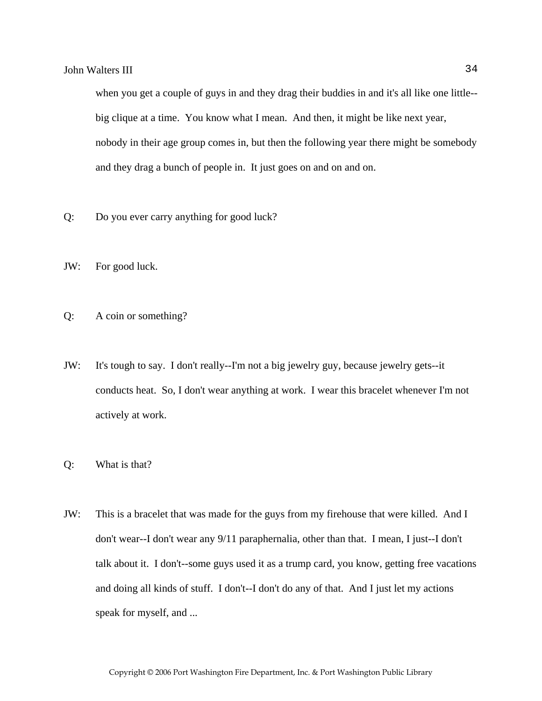when you get a couple of guys in and they drag their buddies in and it's all like one little- big clique at a time. You know what I mean. And then, it might be like next year, nobody in their age group comes in, but then the following year there might be somebody and they drag a bunch of people in. It just goes on and on and on.

- Q: Do you ever carry anything for good luck?
- JW: For good luck.
- Q: A coin or something?
- JW: It's tough to say. I don't really--I'm not a big jewelry guy, because jewelry gets--it conducts heat. So, I don't wear anything at work. I wear this bracelet whenever I'm not actively at work.
- Q: What is that?
- JW: This is a bracelet that was made for the guys from my firehouse that were killed. And I don't wear--I don't wear any 9/11 paraphernalia, other than that. I mean, I just--I don't talk about it. I don't--some guys used it as a trump card, you know, getting free vacations and doing all kinds of stuff. I don't--I don't do any of that. And I just let my actions speak for myself, and ...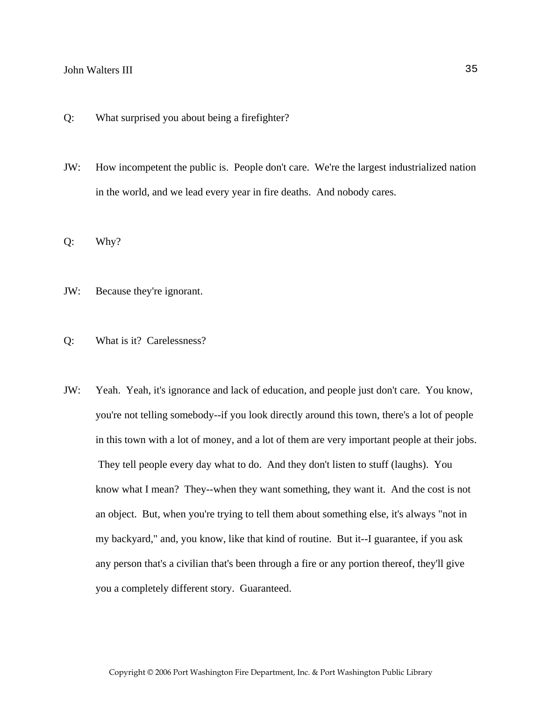- Q: What surprised you about being a firefighter?
- JW: How incompetent the public is. People don't care. We're the largest industrialized nation in the world, and we lead every year in fire deaths. And nobody cares.
- Q: Why?
- JW: Because they're ignorant.
- Q: What is it? Carelessness?
- JW: Yeah. Yeah, it's ignorance and lack of education, and people just don't care. You know, you're not telling somebody--if you look directly around this town, there's a lot of people in this town with a lot of money, and a lot of them are very important people at their jobs. They tell people every day what to do. And they don't listen to stuff (laughs). You know what I mean? They--when they want something, they want it. And the cost is not an object. But, when you're trying to tell them about something else, it's always "not in my backyard," and, you know, like that kind of routine. But it--I guarantee, if you ask any person that's a civilian that's been through a fire or any portion thereof, they'll give you a completely different story. Guaranteed.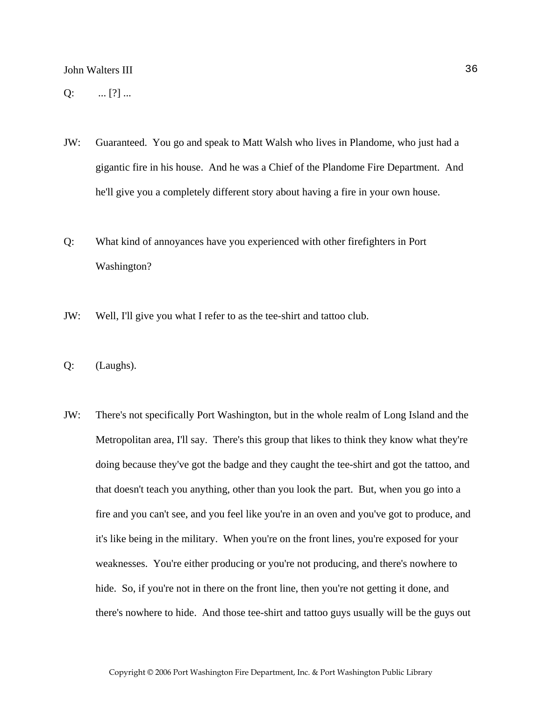$Q:$  ... [?] ...

- JW: Guaranteed. You go and speak to Matt Walsh who lives in Plandome, who just had a gigantic fire in his house. And he was a Chief of the Plandome Fire Department. And he'll give you a completely different story about having a fire in your own house.
- Q: What kind of annoyances have you experienced with other firefighters in Port Washington?
- JW: Well, I'll give you what I refer to as the tee-shirt and tattoo club.
- Q: (Laughs).
- JW: There's not specifically Port Washington, but in the whole realm of Long Island and the Metropolitan area, I'll say. There's this group that likes to think they know what they're doing because they've got the badge and they caught the tee-shirt and got the tattoo, and that doesn't teach you anything, other than you look the part. But, when you go into a fire and you can't see, and you feel like you're in an oven and you've got to produce, and it's like being in the military. When you're on the front lines, you're exposed for your weaknesses. You're either producing or you're not producing, and there's nowhere to hide. So, if you're not in there on the front line, then you're not getting it done, and there's nowhere to hide. And those tee-shirt and tattoo guys usually will be the guys out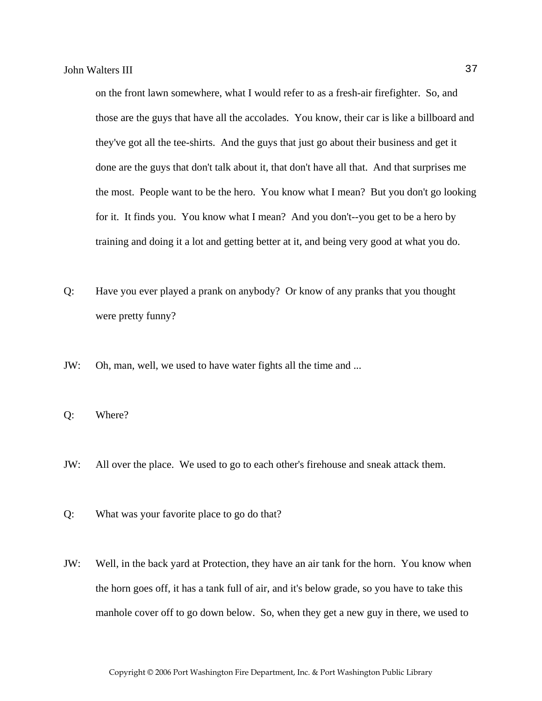on the front lawn somewhere, what I would refer to as a fresh-air firefighter. So, and those are the guys that have all the accolades. You know, their car is like a billboard and they've got all the tee-shirts. And the guys that just go about their business and get it done are the guys that don't talk about it, that don't have all that. And that surprises me the most. People want to be the hero. You know what I mean? But you don't go looking for it. It finds you. You know what I mean? And you don't--you get to be a hero by training and doing it a lot and getting better at it, and being very good at what you do.

- Q: Have you ever played a prank on anybody? Or know of any pranks that you thought were pretty funny?
- JW: Oh, man, well, we used to have water fights all the time and ...
- Q: Where?
- JW: All over the place. We used to go to each other's firehouse and sneak attack them.
- Q: What was your favorite place to go do that?
- JW: Well, in the back yard at Protection, they have an air tank for the horn. You know when the horn goes off, it has a tank full of air, and it's below grade, so you have to take this manhole cover off to go down below. So, when they get a new guy in there, we used to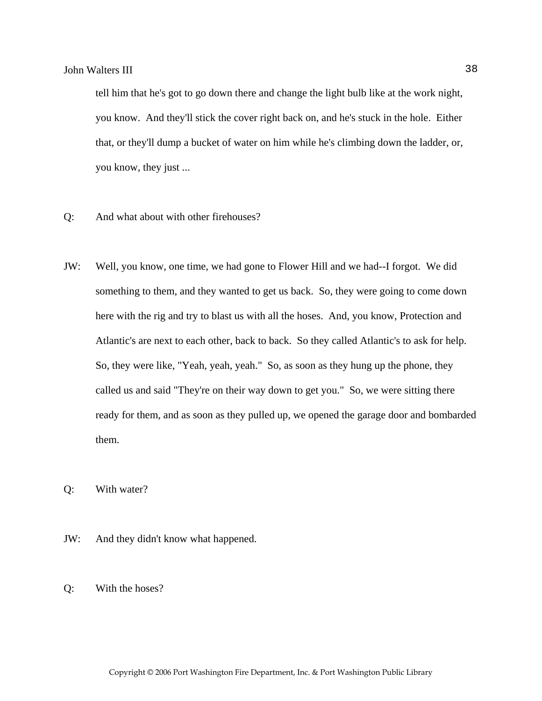tell him that he's got to go down there and change the light bulb like at the work night, you know. And they'll stick the cover right back on, and he's stuck in the hole. Either that, or they'll dump a bucket of water on him while he's climbing down the ladder, or, you know, they just ...

- Q: And what about with other firehouses?
- JW: Well, you know, one time, we had gone to Flower Hill and we had--I forgot. We did something to them, and they wanted to get us back. So, they were going to come down here with the rig and try to blast us with all the hoses. And, you know, Protection and Atlantic's are next to each other, back to back. So they called Atlantic's to ask for help. So, they were like, "Yeah, yeah, yeah." So, as soon as they hung up the phone, they called us and said "They're on their way down to get you." So, we were sitting there ready for them, and as soon as they pulled up, we opened the garage door and bombarded them.

Q: With water?

- JW: And they didn't know what happened.
- Q: With the hoses?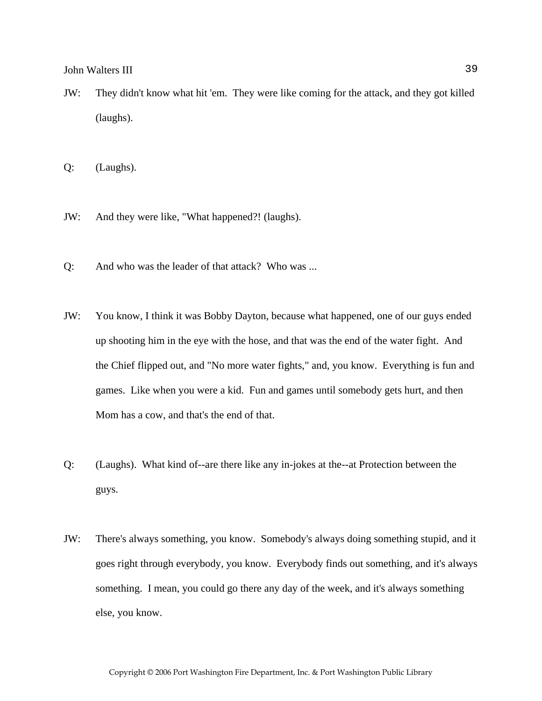JW: They didn't know what hit 'em. They were like coming for the attack, and they got killed (laughs).

Q: (Laughs).

- JW: And they were like, "What happened?! (laughs).
- Q: And who was the leader of that attack? Who was ...
- JW: You know, I think it was Bobby Dayton, because what happened, one of our guys ended up shooting him in the eye with the hose, and that was the end of the water fight. And the Chief flipped out, and "No more water fights," and, you know. Everything is fun and games. Like when you were a kid. Fun and games until somebody gets hurt, and then Mom has a cow, and that's the end of that.
- Q: (Laughs). What kind of--are there like any in-jokes at the--at Protection between the guys.
- JW: There's always something, you know. Somebody's always doing something stupid, and it goes right through everybody, you know. Everybody finds out something, and it's always something. I mean, you could go there any day of the week, and it's always something else, you know.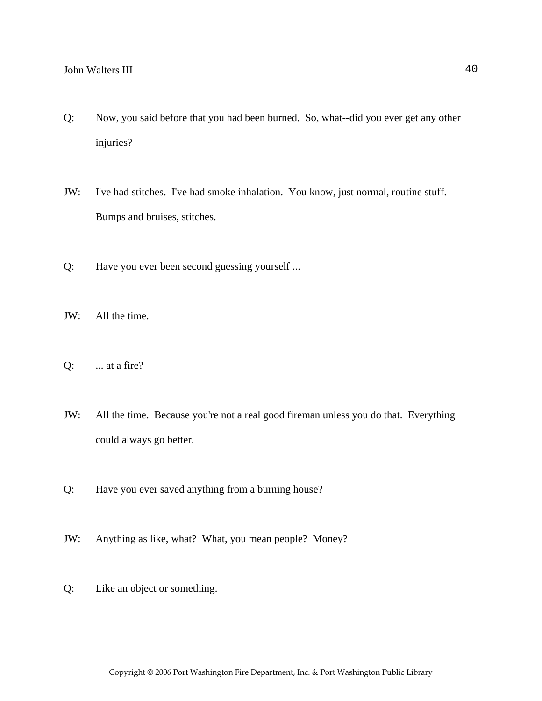- Q: Now, you said before that you had been burned. So, what--did you ever get any other injuries?
- JW: I've had stitches. I've had smoke inhalation. You know, just normal, routine stuff. Bumps and bruises, stitches.
- Q: Have you ever been second guessing yourself ...
- JW: All the time.
- $Q:$  ... at a fire?
- JW: All the time. Because you're not a real good fireman unless you do that. Everything could always go better.
- Q: Have you ever saved anything from a burning house?
- JW: Anything as like, what? What, you mean people? Money?
- Q: Like an object or something.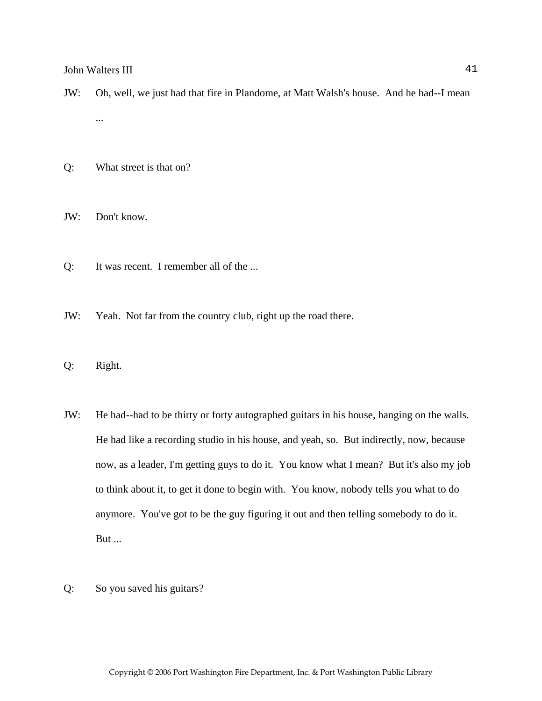- JW: Oh, well, we just had that fire in Plandome, at Matt Walsh's house. And he had--I mean ...
- Q: What street is that on?

JW: Don't know.

- Q: It was recent. I remember all of the ...
- JW: Yeah. Not far from the country club, right up the road there.
- Q: Right.
- JW: He had--had to be thirty or forty autographed guitars in his house, hanging on the walls. He had like a recording studio in his house, and yeah, so. But indirectly, now, because now, as a leader, I'm getting guys to do it. You know what I mean? But it's also my job to think about it, to get it done to begin with. You know, nobody tells you what to do anymore. You've got to be the guy figuring it out and then telling somebody to do it. But ...
- Q: So you saved his guitars?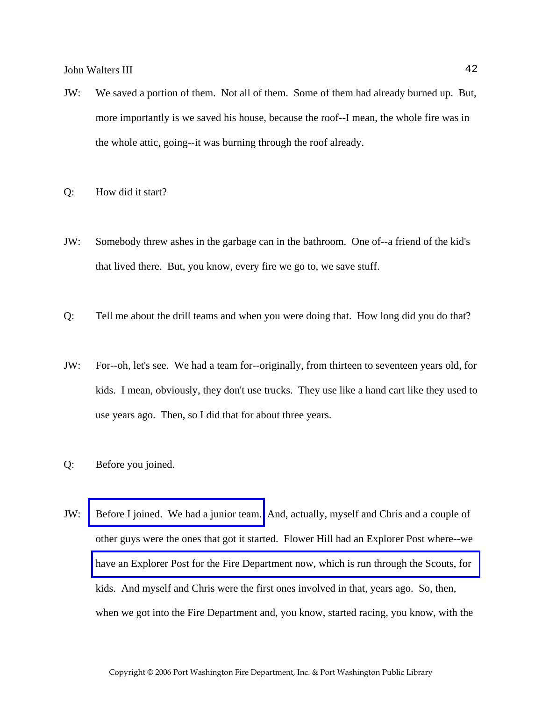- JW: We saved a portion of them. Not all of them. Some of them had already burned up. But, more importantly is we saved his house, because the roof--I mean, the whole fire was in the whole attic, going--it was burning through the roof already.
- Q: How did it start?
- JW: Somebody threw ashes in the garbage can in the bathroom. One of--a friend of the kid's that lived there. But, you know, every fire we go to, we save stuff.
- Q: Tell me about the drill teams and when you were doing that. How long did you do that?
- JW: For--oh, let's see. We had a team for--originally, from thirteen to seventeen years old, for kids. I mean, obviously, they don't use trucks. They use like a hand cart like they used to use years ago. Then, so I did that for about three years.
- Q: Before you joined.
- JW: [Before I joined. We had a junior team.](http://www.pwfdhistory.com/trans/waltersj3_trans/pwfd_racing001a.jpg) And, actually, myself and Chris and a couple of other guys were the ones that got it started. Flower Hill had an Explorer Post where--we [have an Explorer Post for the Fire Department now, which is run through the Scouts, for](http://www.pwfdhistory.com/trans/waltersj3_trans/pwfd_members010.jpg)  kids. And myself and Chris were the first ones involved in that, years ago. So, then, when we got into the Fire Department and, you know, started racing, you know, with the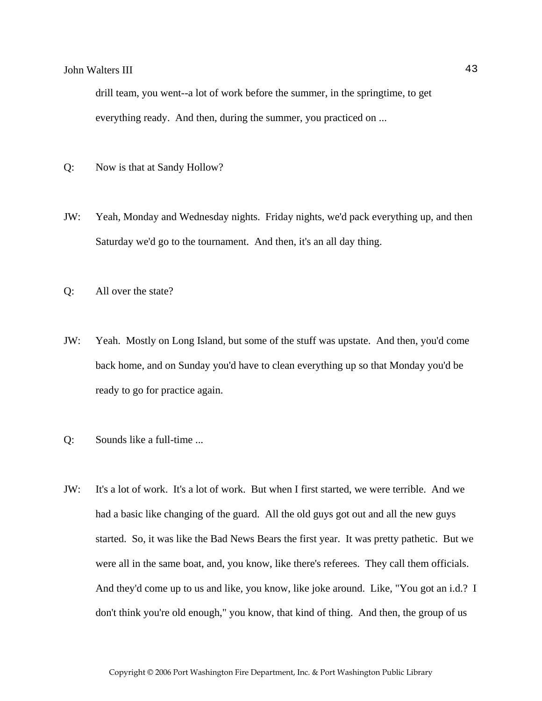drill team, you went--a lot of work before the summer, in the springtime, to get everything ready. And then, during the summer, you practiced on ...

- Q: Now is that at Sandy Hollow?
- JW: Yeah, Monday and Wednesday nights. Friday nights, we'd pack everything up, and then Saturday we'd go to the tournament. And then, it's an all day thing.
- Q: All over the state?
- JW: Yeah. Mostly on Long Island, but some of the stuff was upstate. And then, you'd come back home, and on Sunday you'd have to clean everything up so that Monday you'd be ready to go for practice again.
- Q: Sounds like a full-time ...
- JW: It's a lot of work. It's a lot of work. But when I first started, we were terrible. And we had a basic like changing of the guard. All the old guys got out and all the new guys started. So, it was like the Bad News Bears the first year. It was pretty pathetic. But we were all in the same boat, and, you know, like there's referees. They call them officials. And they'd come up to us and like, you know, like joke around. Like, "You got an i.d.? I don't think you're old enough," you know, that kind of thing. And then, the group of us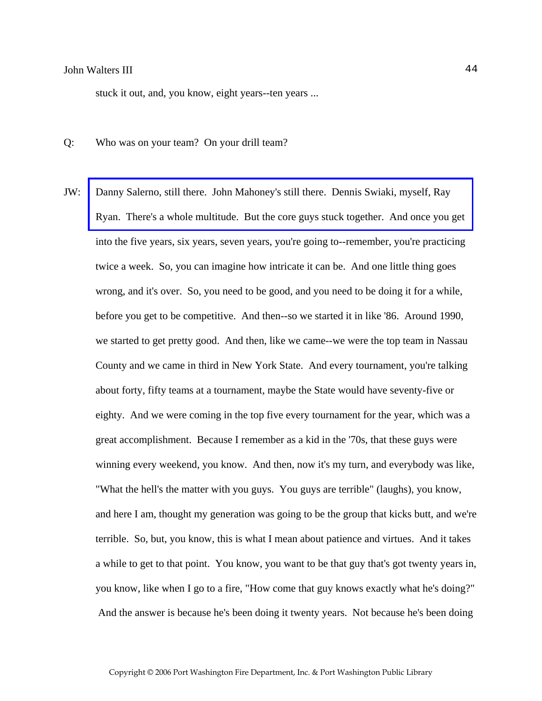stuck it out, and, you know, eight years--ten years ...

- Q: Who was on your team? On your drill team?
- JW: Danny Salerno, still there. John Mahoney's still there. Dennis Swiaki, myself, Ray [Ryan. There's a whole multitude. But the core guys stuck together. And once you get](http://www.pwfdhistory.com/trans/waltersj3_trans/pwfd_racing007_web2.jpg)  into the five years, six years, seven years, you're going to--remember, you're practicing twice a week. So, you can imagine how intricate it can be. And one little thing goes wrong, and it's over. So, you need to be good, and you need to be doing it for a while, before you get to be competitive. And then--so we started it in like '86. Around 1990, we started to get pretty good. And then, like we came--we were the top team in Nassau County and we came in third in New York State. And every tournament, you're talking about forty, fifty teams at a tournament, maybe the State would have seventy-five or eighty. And we were coming in the top five every tournament for the year, which was a great accomplishment. Because I remember as a kid in the '70s, that these guys were winning every weekend, you know. And then, now it's my turn, and everybody was like, "What the hell's the matter with you guys. You guys are terrible" (laughs), you know, and here I am, thought my generation was going to be the group that kicks butt, and we're terrible. So, but, you know, this is what I mean about patience and virtues. And it takes a while to get to that point. You know, you want to be that guy that's got twenty years in, you know, like when I go to a fire, "How come that guy knows exactly what he's doing?" And the answer is because he's been doing it twenty years. Not because he's been doing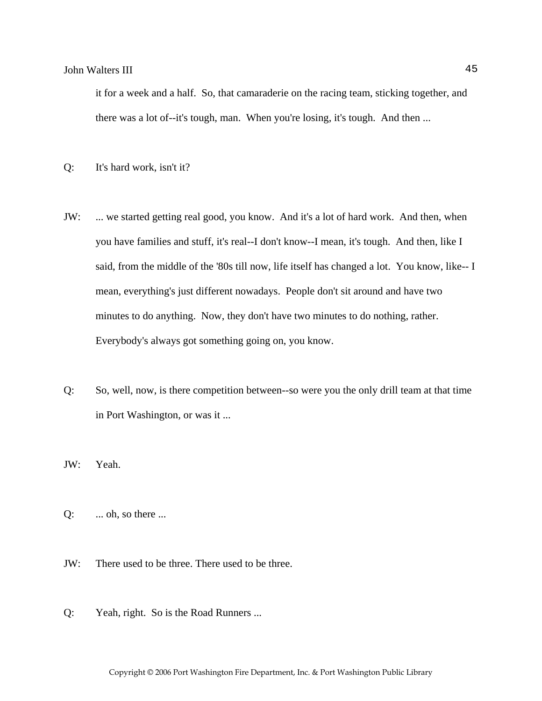it for a week and a half. So, that camaraderie on the racing team, sticking together, and there was a lot of--it's tough, man. When you're losing, it's tough. And then ...

- Q: It's hard work, isn't it?
- JW: ... we started getting real good, you know. And it's a lot of hard work. And then, when you have families and stuff, it's real--I don't know--I mean, it's tough. And then, like I said, from the middle of the '80s till now, life itself has changed a lot. You know, like-- I mean, everything's just different nowadays. People don't sit around and have two minutes to do anything. Now, they don't have two minutes to do nothing, rather. Everybody's always got something going on, you know.
- Q: So, well, now, is there competition between--so were you the only drill team at that time in Port Washington, or was it ...
- JW: Yeah.
- $Q:$  ... oh, so there ...
- JW: There used to be three. There used to be three.
- Q: Yeah, right. So is the Road Runners ...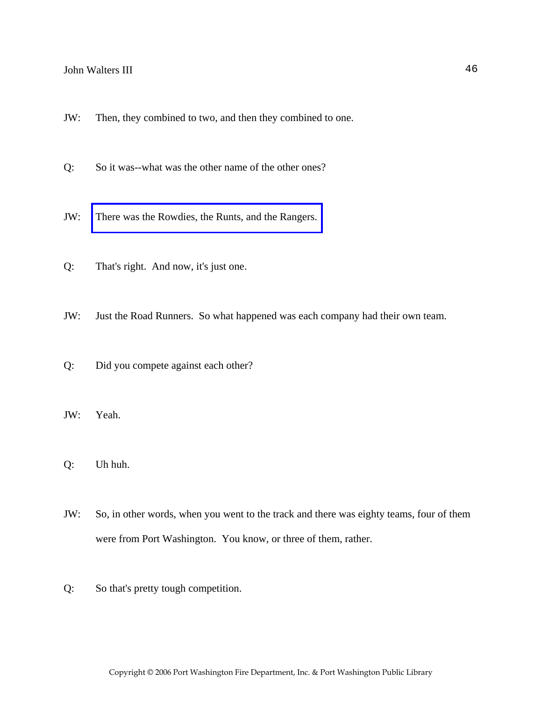- JW: Then, they combined to two, and then they combined to one.
- Q: So it was--what was the other name of the other ones?
- JW: [There was the Rowdies, the Runts, and the Rangers.](http://www.pwfdhistory.com/trans/waltersj3_trans/pwfd_racing029.jpg)
- Q: That's right. And now, it's just one.
- JW: Just the Road Runners. So what happened was each company had their own team.
- Q: Did you compete against each other?
- JW: Yeah.
- Q: Uh huh.
- JW: So, in other words, when you went to the track and there was eighty teams, four of them were from Port Washington. You know, or three of them, rather.
- Q: So that's pretty tough competition.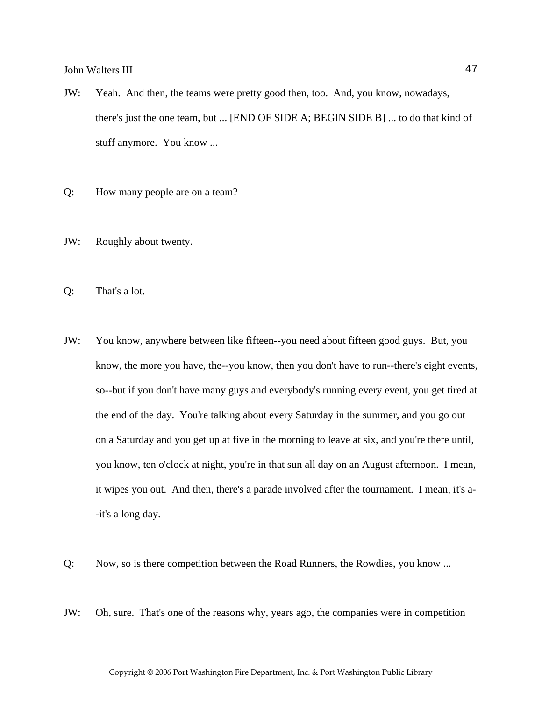- JW: Yeah. And then, the teams were pretty good then, too. And, you know, nowadays, there's just the one team, but ... [END OF SIDE A; BEGIN SIDE B] ... to do that kind of stuff anymore. You know ...
- Q: How many people are on a team?
- JW: Roughly about twenty.
- Q: That's a lot.
- JW: You know, anywhere between like fifteen--you need about fifteen good guys. But, you know, the more you have, the--you know, then you don't have to run--there's eight events, so--but if you don't have many guys and everybody's running every event, you get tired at the end of the day. You're talking about every Saturday in the summer, and you go out on a Saturday and you get up at five in the morning to leave at six, and you're there until, you know, ten o'clock at night, you're in that sun all day on an August afternoon. I mean, it wipes you out. And then, there's a parade involved after the tournament. I mean, it's a- -it's a long day.
- Q: Now, so is there competition between the Road Runners, the Rowdies, you know ...
- JW: Oh, sure. That's one of the reasons why, years ago, the companies were in competition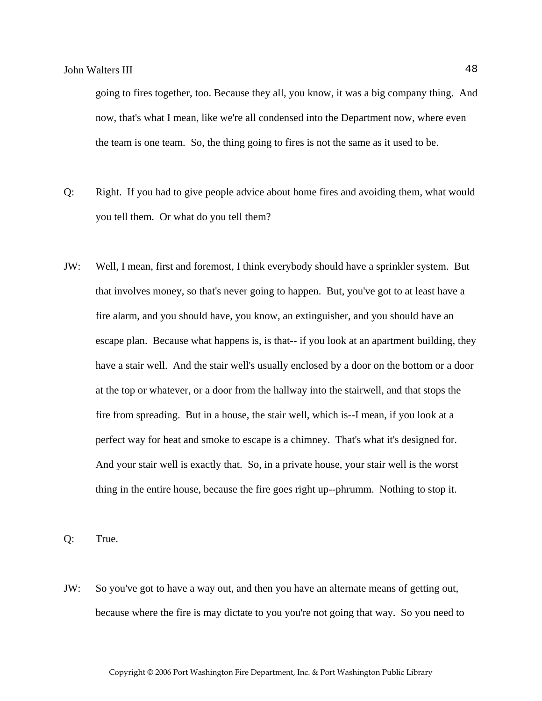going to fires together, too. Because they all, you know, it was a big company thing. And now, that's what I mean, like we're all condensed into the Department now, where even the team is one team. So, the thing going to fires is not the same as it used to be.

- Q: Right. If you had to give people advice about home fires and avoiding them, what would you tell them. Or what do you tell them?
- JW: Well, I mean, first and foremost, I think everybody should have a sprinkler system. But that involves money, so that's never going to happen. But, you've got to at least have a fire alarm, and you should have, you know, an extinguisher, and you should have an escape plan. Because what happens is, is that-- if you look at an apartment building, they have a stair well. And the stair well's usually enclosed by a door on the bottom or a door at the top or whatever, or a door from the hallway into the stairwell, and that stops the fire from spreading. But in a house, the stair well, which is--I mean, if you look at a perfect way for heat and smoke to escape is a chimney. That's what it's designed for. And your stair well is exactly that. So, in a private house, your stair well is the worst thing in the entire house, because the fire goes right up--phrumm. Nothing to stop it.

Q: True.

JW: So you've got to have a way out, and then you have an alternate means of getting out, because where the fire is may dictate to you you're not going that way. So you need to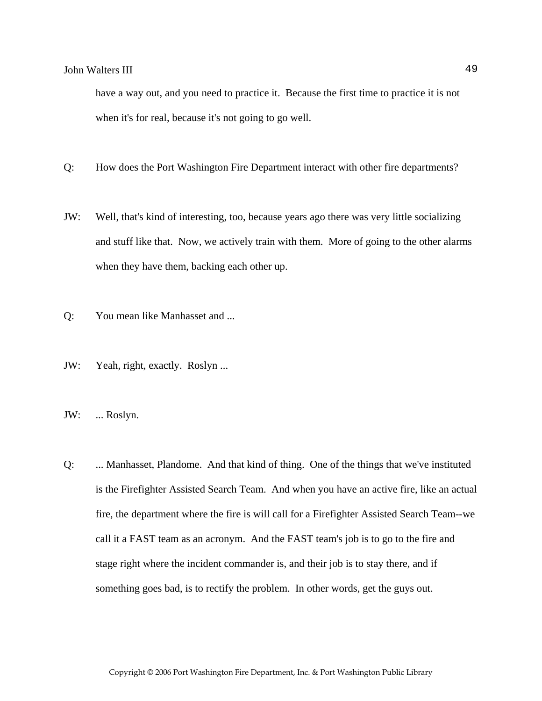have a way out, and you need to practice it. Because the first time to practice it is not when it's for real, because it's not going to go well.

- Q: How does the Port Washington Fire Department interact with other fire departments?
- JW: Well, that's kind of interesting, too, because years ago there was very little socializing and stuff like that. Now, we actively train with them. More of going to the other alarms when they have them, backing each other up.
- Q: You mean like Manhasset and ...
- JW: Yeah, right, exactly. Roslyn ...
- JW: ... Roslyn.
- Q: ... Manhasset, Plandome. And that kind of thing. One of the things that we've instituted is the Firefighter Assisted Search Team. And when you have an active fire, like an actual fire, the department where the fire is will call for a Firefighter Assisted Search Team--we call it a FAST team as an acronym. And the FAST team's job is to go to the fire and stage right where the incident commander is, and their job is to stay there, and if something goes bad, is to rectify the problem. In other words, get the guys out.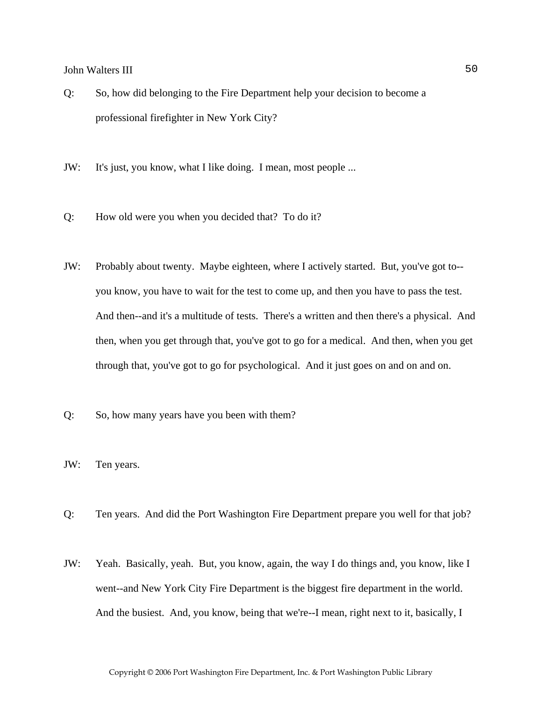- Q: So, how did belonging to the Fire Department help your decision to become a professional firefighter in New York City?
- JW: It's just, you know, what I like doing. I mean, most people ...
- Q: How old were you when you decided that? To do it?
- JW: Probably about twenty. Maybe eighteen, where I actively started. But, you've got to- you know, you have to wait for the test to come up, and then you have to pass the test. And then--and it's a multitude of tests. There's a written and then there's a physical. And then, when you get through that, you've got to go for a medical. And then, when you get through that, you've got to go for psychological. And it just goes on and on and on.
- Q: So, how many years have you been with them?
- JW: Ten years.
- Q: Ten years. And did the Port Washington Fire Department prepare you well for that job?
- JW: Yeah. Basically, yeah. But, you know, again, the way I do things and, you know, like I went--and New York City Fire Department is the biggest fire department in the world. And the busiest. And, you know, being that we're--I mean, right next to it, basically, I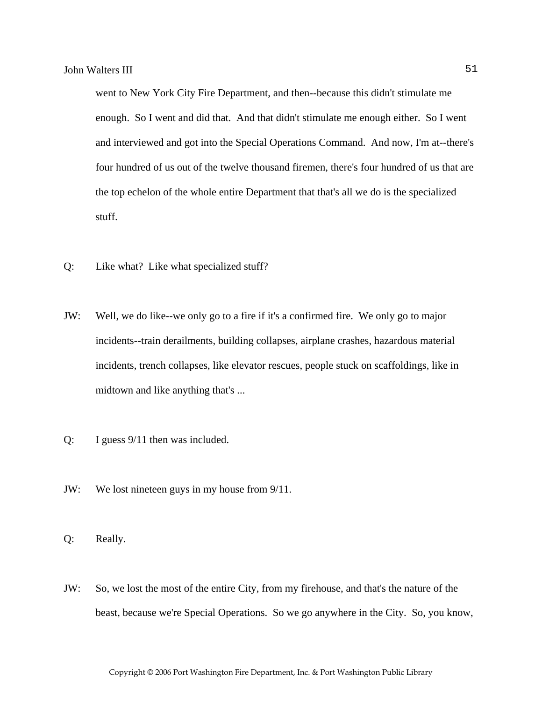went to New York City Fire Department, and then--because this didn't stimulate me enough. So I went and did that. And that didn't stimulate me enough either. So I went and interviewed and got into the Special Operations Command. And now, I'm at--there's four hundred of us out of the twelve thousand firemen, there's four hundred of us that are the top echelon of the whole entire Department that that's all we do is the specialized stuff.

- Q: Like what? Like what specialized stuff?
- JW: Well, we do like--we only go to a fire if it's a confirmed fire. We only go to major incidents--train derailments, building collapses, airplane crashes, hazardous material incidents, trench collapses, like elevator rescues, people stuck on scaffoldings, like in midtown and like anything that's ...
- Q: I guess 9/11 then was included.
- JW: We lost nineteen guys in my house from 9/11.
- Q: Really.
- JW: So, we lost the most of the entire City, from my firehouse, and that's the nature of the beast, because we're Special Operations. So we go anywhere in the City. So, you know,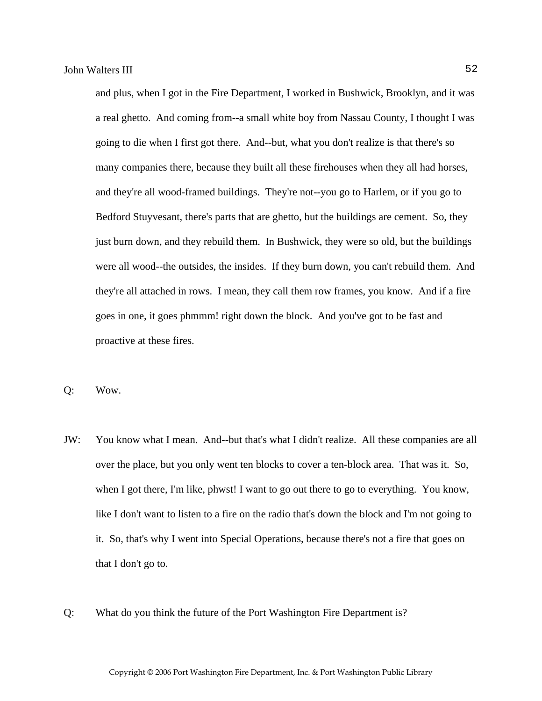and plus, when I got in the Fire Department, I worked in Bushwick, Brooklyn, and it was a real ghetto. And coming from--a small white boy from Nassau County, I thought I was going to die when I first got there. And--but, what you don't realize is that there's so many companies there, because they built all these firehouses when they all had horses, and they're all wood-framed buildings. They're not--you go to Harlem, or if you go to Bedford Stuyvesant, there's parts that are ghetto, but the buildings are cement. So, they just burn down, and they rebuild them. In Bushwick, they were so old, but the buildings were all wood--the outsides, the insides. If they burn down, you can't rebuild them. And they're all attached in rows. I mean, they call them row frames, you know. And if a fire goes in one, it goes phmmm! right down the block. And you've got to be fast and proactive at these fires.

Q: Wow.

- JW: You know what I mean. And--but that's what I didn't realize. All these companies are all over the place, but you only went ten blocks to cover a ten-block area. That was it. So, when I got there, I'm like, phwst! I want to go out there to go to everything. You know, like I don't want to listen to a fire on the radio that's down the block and I'm not going to it. So, that's why I went into Special Operations, because there's not a fire that goes on that I don't go to.
- Q: What do you think the future of the Port Washington Fire Department is?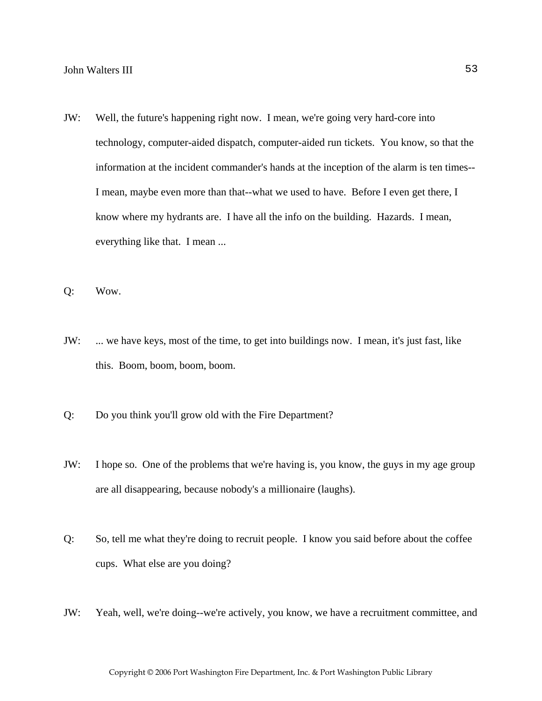- JW: Well, the future's happening right now. I mean, we're going very hard-core into technology, computer-aided dispatch, computer-aided run tickets. You know, so that the information at the incident commander's hands at the inception of the alarm is ten times-- I mean, maybe even more than that--what we used to have. Before I even get there, I know where my hydrants are. I have all the info on the building. Hazards. I mean, everything like that. I mean ...
- Q: Wow.
- JW: ... we have keys, most of the time, to get into buildings now. I mean, it's just fast, like this. Boom, boom, boom, boom.
- Q: Do you think you'll grow old with the Fire Department?
- JW: I hope so. One of the problems that we're having is, you know, the guys in my age group are all disappearing, because nobody's a millionaire (laughs).
- Q: So, tell me what they're doing to recruit people. I know you said before about the coffee cups. What else are you doing?
- JW: Yeah, well, we're doing--we're actively, you know, we have a recruitment committee, and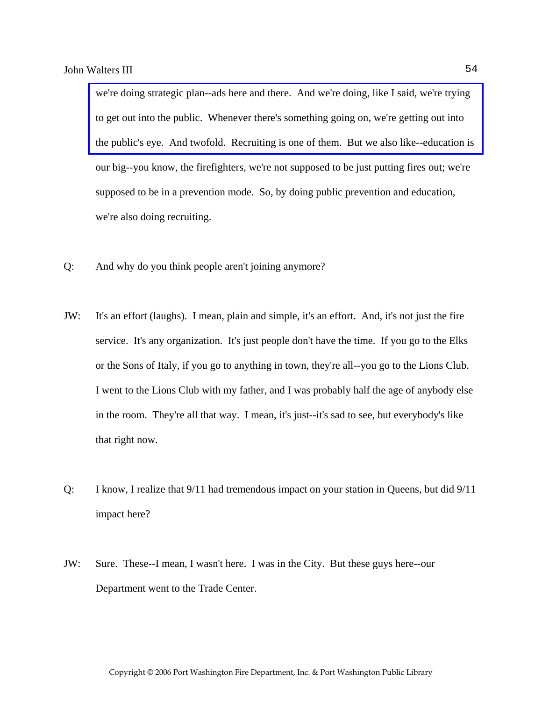we're doing strategic plan--ads here and there. And we're doing, like I said, we're trying to get out into the public. Whenever there's something going on, we're getting out into [the public's eye. And twofold. Recruiting is one of them. But we also like--education is](http://www.pwfdhistory.com/trans/waltersj3_trans/pwfd_artifact003.pdf)  our big--you know, the firefighters, we're not supposed to be just putting fires out; we're supposed to be in a prevention mode. So, by doing public prevention and education, we're also doing recruiting.

- Q: And why do you think people aren't joining anymore?
- JW: It's an effort (laughs). I mean, plain and simple, it's an effort. And, it's not just the fire service. It's any organization. It's just people don't have the time. If you go to the Elks or the Sons of Italy, if you go to anything in town, they're all--you go to the Lions Club. I went to the Lions Club with my father, and I was probably half the age of anybody else in the room. They're all that way. I mean, it's just--it's sad to see, but everybody's like that right now.
- Q: I know, I realize that 9/11 had tremendous impact on your station in Queens, but did 9/11 impact here?
- JW: Sure. These--I mean, I wasn't here. I was in the City. But these guys here--our Department went to the Trade Center.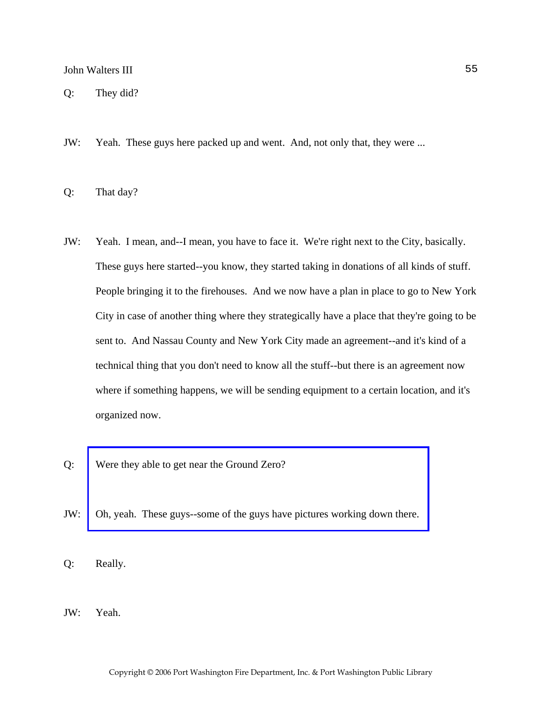Q: They did?

- JW: Yeah. These guys here packed up and went. And, not only that, they were ...
- Q: That day?
- JW: Yeah. I mean, and--I mean, you have to face it. We're right next to the City, basically. These guys here started--you know, they started taking in donations of all kinds of stuff. People bringing it to the firehouses. And we now have a plan in place to go to New York City in case of another thing where they strategically have a place that they're going to be sent to. And Nassau County and New York City made an agreement--and it's kind of a technical thing that you don't need to know all the stuff--but there is an agreement now where if something happens, we will be sending equipment to a certain location, and it's organized now.
- Q: Were they able to get near the Ground Zero?
- JW: [Oh, yeah. These guys--some of the guys have pictures working down there.](http://www.pwfdhistory.com/trans/waltersj3_trans/pwfd_911002_web.jpg)
- Q: Really.
- JW: Yeah.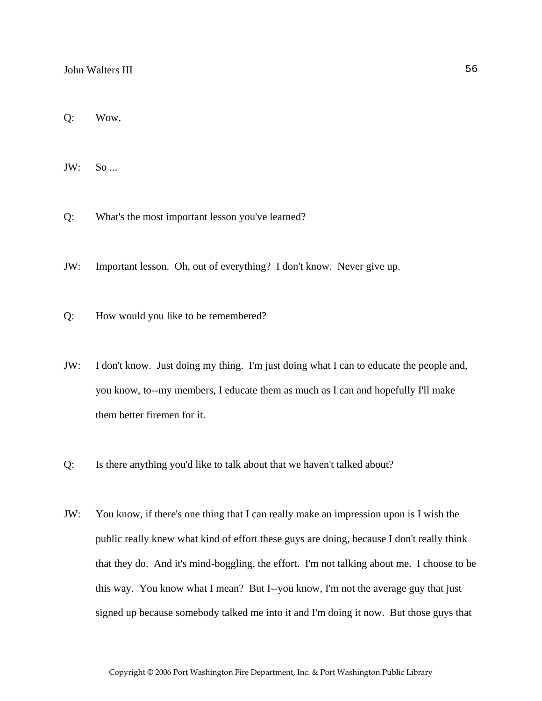Q: Wow.

JW: So ...

Q: What's the most important lesson you've learned?

JW: Important lesson. Oh, out of everything? I don't know. Never give up.

Q: How would you like to be remembered?

- JW: I don't know. Just doing my thing. I'm just doing what I can to educate the people and, you know, to--my members, I educate them as much as I can and hopefully I'll make them better firemen for it.
- Q: Is there anything you'd like to talk about that we haven't talked about?
- JW: You know, if there's one thing that I can really make an impression upon is I wish the public really knew what kind of effort these guys are doing, because I don't really think that they do. And it's mind-boggling, the effort. I'm not talking about me. I choose to be this way. You know what I mean? But I--you know, I'm not the average guy that just signed up because somebody talked me into it and I'm doing it now. But those guys that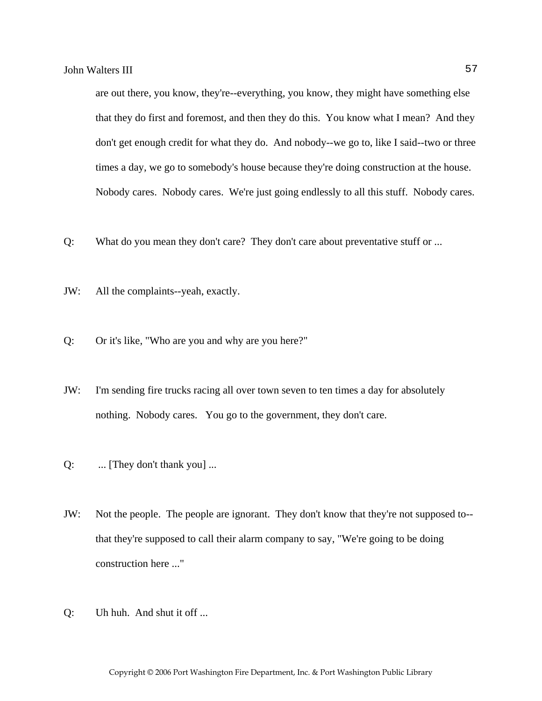are out there, you know, they're--everything, you know, they might have something else that they do first and foremost, and then they do this. You know what I mean? And they don't get enough credit for what they do. And nobody--we go to, like I said--two or three times a day, we go to somebody's house because they're doing construction at the house. Nobody cares. Nobody cares. We're just going endlessly to all this stuff. Nobody cares.

- Q: What do you mean they don't care? They don't care about preventative stuff or ...
- JW: All the complaints--yeah, exactly.
- Q: Or it's like, "Who are you and why are you here?"
- JW: I'm sending fire trucks racing all over town seven to ten times a day for absolutely nothing. Nobody cares. You go to the government, they don't care.
- Q: ... [They don't thank you] ...
- JW: Not the people. The people are ignorant. They don't know that they're not supposed to- that they're supposed to call their alarm company to say, "We're going to be doing construction here ..."
- Q: Uh huh. And shut it off ...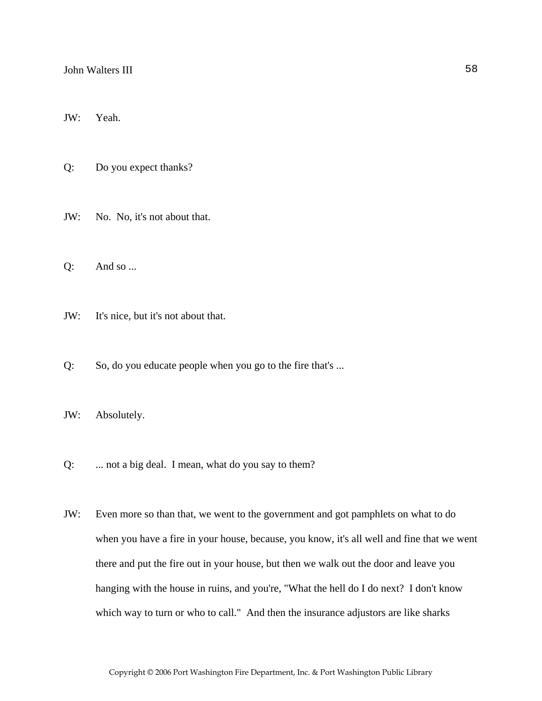JW: Yeah.

Q: Do you expect thanks?

JW: No. No, it's not about that.

Q: And so ...

JW: It's nice, but it's not about that.

Q: So, do you educate people when you go to the fire that's ...

JW: Absolutely.

Q: ... not a big deal. I mean, what do you say to them?

JW: Even more so than that, we went to the government and got pamphlets on what to do when you have a fire in your house, because, you know, it's all well and fine that we went there and put the fire out in your house, but then we walk out the door and leave you hanging with the house in ruins, and you're, "What the hell do I do next? I don't know which way to turn or who to call." And then the insurance adjustors are like sharks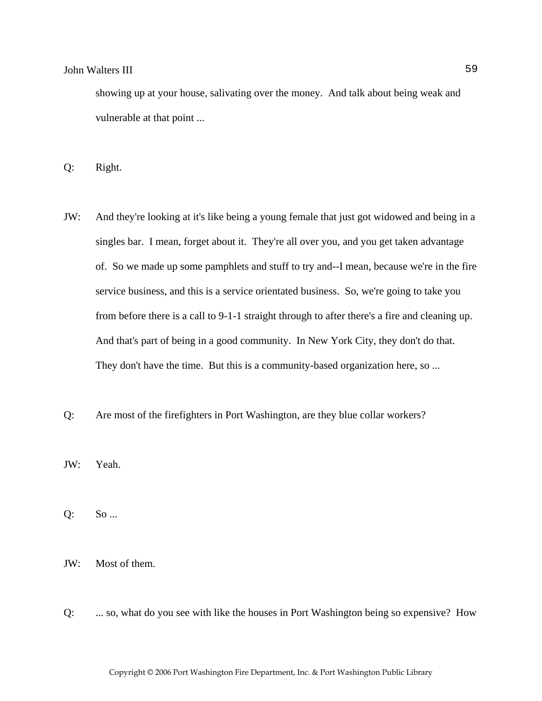showing up at your house, salivating over the money. And talk about being weak and vulnerable at that point ...

Q: Right.

- JW: And they're looking at it's like being a young female that just got widowed and being in a singles bar. I mean, forget about it. They're all over you, and you get taken advantage of. So we made up some pamphlets and stuff to try and--I mean, because we're in the fire service business, and this is a service orientated business. So, we're going to take you from before there is a call to 9-1-1 straight through to after there's a fire and cleaning up. And that's part of being in a good community. In New York City, they don't do that. They don't have the time. But this is a community-based organization here, so ...
- Q: Are most of the firefighters in Port Washington, are they blue collar workers?

JW: Yeah.

Q: So ...

JW: Most of them.

Q: ... so, what do you see with like the houses in Port Washington being so expensive? How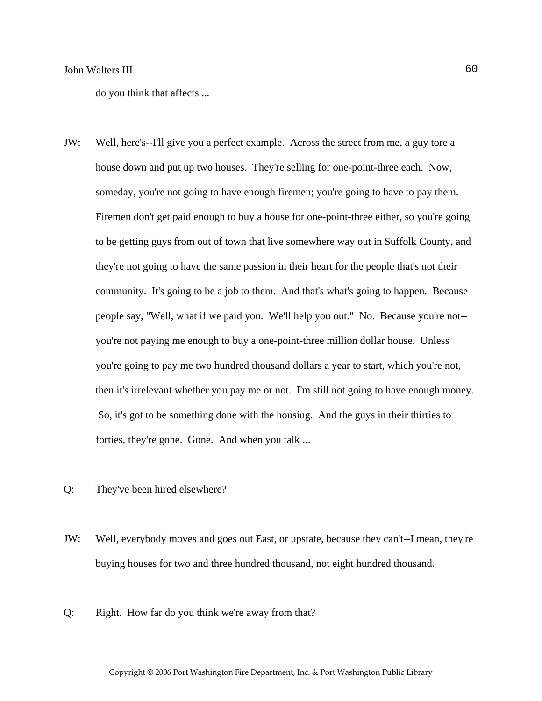do you think that affects ...

- JW: Well, here's--I'll give you a perfect example. Across the street from me, a guy tore a house down and put up two houses. They're selling for one-point-three each. Now, someday, you're not going to have enough firemen; you're going to have to pay them. Firemen don't get paid enough to buy a house for one-point-three either, so you're going to be getting guys from out of town that live somewhere way out in Suffolk County, and they're not going to have the same passion in their heart for the people that's not their community. It's going to be a job to them. And that's what's going to happen. Because people say, "Well, what if we paid you. We'll help you out." No. Because you're not- you're not paying me enough to buy a one-point-three million dollar house. Unless you're going to pay me two hundred thousand dollars a year to start, which you're not, then it's irrelevant whether you pay me or not. I'm still not going to have enough money. So, it's got to be something done with the housing. And the guys in their thirties to forties, they're gone. Gone. And when you talk ...
- Q: They've been hired elsewhere?
- JW: Well, everybody moves and goes out East, or upstate, because they can't--I mean, they're buying houses for two and three hundred thousand, not eight hundred thousand.
- Q: Right. How far do you think we're away from that?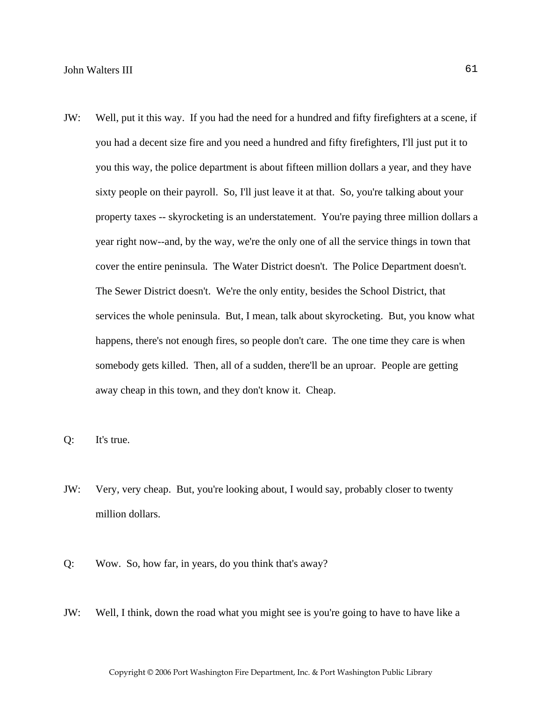- JW: Well, put it this way. If you had the need for a hundred and fifty firefighters at a scene, if you had a decent size fire and you need a hundred and fifty firefighters, I'll just put it to you this way, the police department is about fifteen million dollars a year, and they have sixty people on their payroll. So, I'll just leave it at that. So, you're talking about your property taxes -- skyrocketing is an understatement. You're paying three million dollars a year right now--and, by the way, we're the only one of all the service things in town that cover the entire peninsula. The Water District doesn't. The Police Department doesn't. The Sewer District doesn't. We're the only entity, besides the School District, that services the whole peninsula. But, I mean, talk about skyrocketing. But, you know what happens, there's not enough fires, so people don't care. The one time they care is when somebody gets killed. Then, all of a sudden, there'll be an uproar. People are getting away cheap in this town, and they don't know it. Cheap.
- Q: It's true.
- JW: Very, very cheap. But, you're looking about, I would say, probably closer to twenty million dollars.
- Q: Wow. So, how far, in years, do you think that's away?
- JW: Well, I think, down the road what you might see is you're going to have to have like a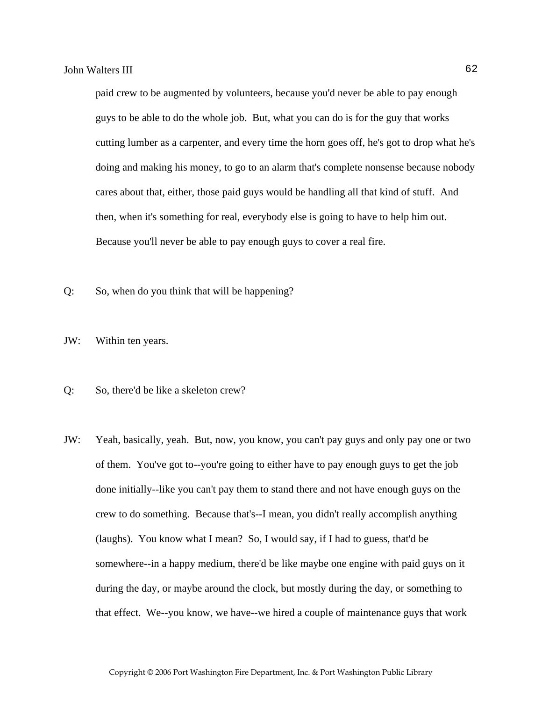paid crew to be augmented by volunteers, because you'd never be able to pay enough guys to be able to do the whole job. But, what you can do is for the guy that works cutting lumber as a carpenter, and every time the horn goes off, he's got to drop what he's doing and making his money, to go to an alarm that's complete nonsense because nobody cares about that, either, those paid guys would be handling all that kind of stuff. And then, when it's something for real, everybody else is going to have to help him out. Because you'll never be able to pay enough guys to cover a real fire.

- Q: So, when do you think that will be happening?
- JW: Within ten years.
- Q: So, there'd be like a skeleton crew?
- JW: Yeah, basically, yeah. But, now, you know, you can't pay guys and only pay one or two of them. You've got to--you're going to either have to pay enough guys to get the job done initially--like you can't pay them to stand there and not have enough guys on the crew to do something. Because that's--I mean, you didn't really accomplish anything (laughs). You know what I mean? So, I would say, if I had to guess, that'd be somewhere--in a happy medium, there'd be like maybe one engine with paid guys on it during the day, or maybe around the clock, but mostly during the day, or something to that effect. We--you know, we have--we hired a couple of maintenance guys that work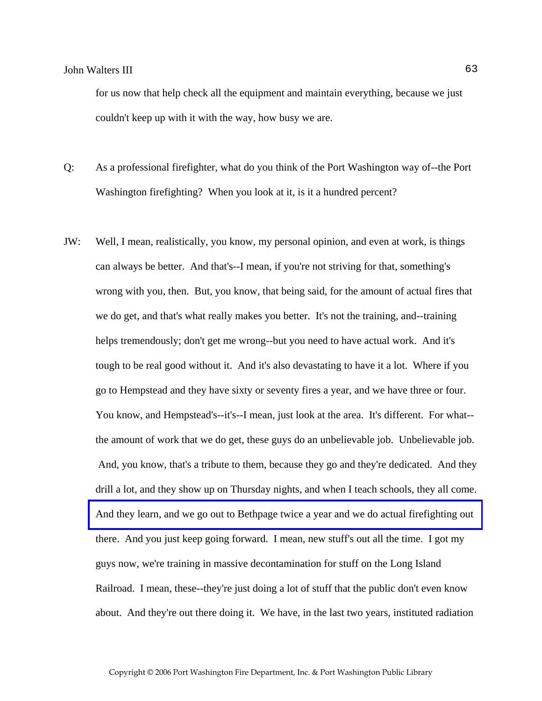for us now that help check all the equipment and maintain everything, because we just couldn't keep up with it with the way, how busy we are.

- Q: As a professional firefighter, what do you think of the Port Washington way of--the Port Washington firefighting? When you look at it, is it a hundred percent?
- JW: Well, I mean, realistically, you know, my personal opinion, and even at work, is things can always be better. And that's--I mean, if you're not striving for that, something's wrong with you, then. But, you know, that being said, for the amount of actual fires that we do get, and that's what really makes you better. It's not the training, and--training helps tremendously; don't get me wrong--but you need to have actual work. And it's tough to be real good without it. And it's also devastating to have it a lot. Where if you go to Hempstead and they have sixty or seventy fires a year, and we have three or four. You know, and Hempstead's--it's--I mean, just look at the area. It's different. For what- the amount of work that we do get, these guys do an unbelievable job. Unbelievable job. And, you know, that's a tribute to them, because they go and they're dedicated. And they drill a lot, and they show up on Thursday nights, and when I teach schools, they all come. [And they learn, and we go out to Bethpage twice a year and we do actual firefighting out](http://www.veebfsa.org)  there. And you just keep going forward. I mean, new stuff's out all the time. I got my guys now, we're training in massive decontamination for stuff on the Long Island Railroad. I mean, these--they're just doing a lot of stuff that the public don't even know about. And they're out there doing it. We have, in the last two years, instituted radiation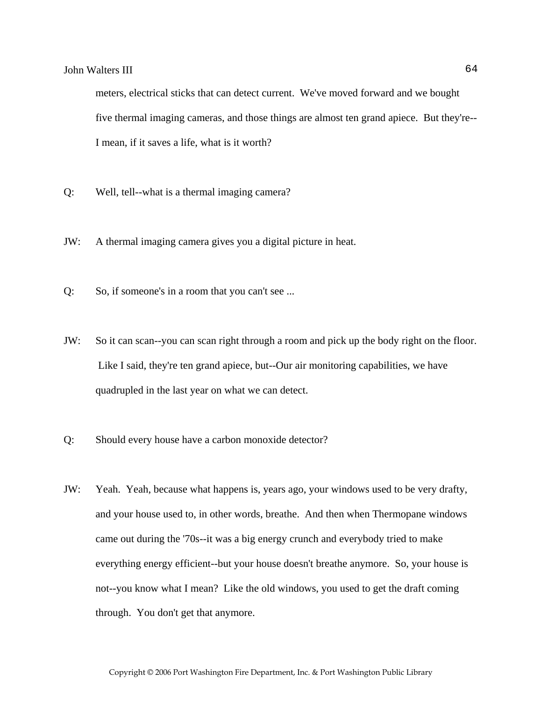meters, electrical sticks that can detect current. We've moved forward and we bought five thermal imaging cameras, and those things are almost ten grand apiece. But they're-- I mean, if it saves a life, what is it worth?

- Q: Well, tell--what is a thermal imaging camera?
- JW: A thermal imaging camera gives you a digital picture in heat.
- Q: So, if someone's in a room that you can't see ...
- JW: So it can scan--you can scan right through a room and pick up the body right on the floor. Like I said, they're ten grand apiece, but--Our air monitoring capabilities, we have quadrupled in the last year on what we can detect.
- Q: Should every house have a carbon monoxide detector?
- JW: Yeah. Yeah, because what happens is, years ago, your windows used to be very drafty, and your house used to, in other words, breathe. And then when Thermopane windows came out during the '70s--it was a big energy crunch and everybody tried to make everything energy efficient--but your house doesn't breathe anymore. So, your house is not--you know what I mean? Like the old windows, you used to get the draft coming through. You don't get that anymore.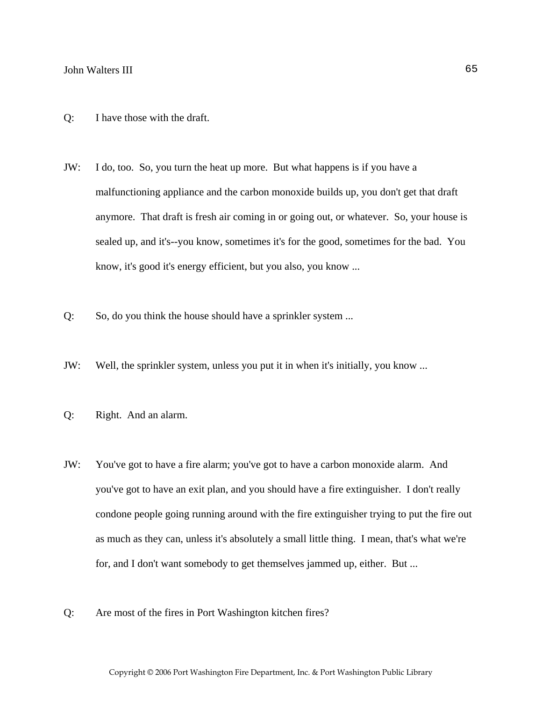- Q: I have those with the draft.
- JW: I do, too. So, you turn the heat up more. But what happens is if you have a malfunctioning appliance and the carbon monoxide builds up, you don't get that draft anymore. That draft is fresh air coming in or going out, or whatever. So, your house is sealed up, and it's--you know, sometimes it's for the good, sometimes for the bad. You know, it's good it's energy efficient, but you also, you know ...
- Q: So, do you think the house should have a sprinkler system ...
- JW: Well, the sprinkler system, unless you put it in when it's initially, you know ...
- Q: Right. And an alarm.
- JW: You've got to have a fire alarm; you've got to have a carbon monoxide alarm. And you've got to have an exit plan, and you should have a fire extinguisher. I don't really condone people going running around with the fire extinguisher trying to put the fire out as much as they can, unless it's absolutely a small little thing. I mean, that's what we're for, and I don't want somebody to get themselves jammed up, either. But ...
- Q: Are most of the fires in Port Washington kitchen fires?